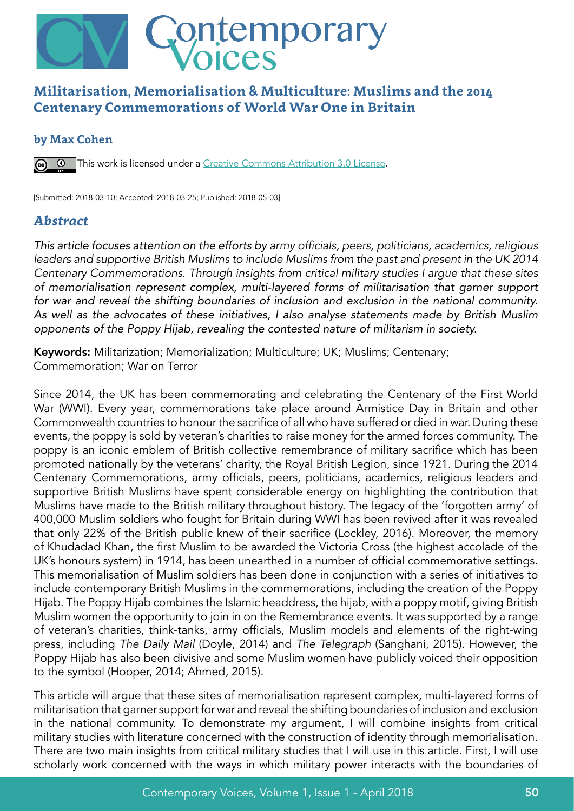

## **Militarisation, Memorialisation & Multiculture: Muslims and the 2014 Centenary Commemorations of World War One in Britain**

#### **by Max Cohen**

**This work is licensed under a** Creative Commons Attribution 3.0 License.

[Submitted: 2018-03-10; Accepted: 2018-03-25; Published: 2018-05-03]

#### *Abstract*

*This article focuses attention on the efforts by* army officials, peers, politicians, academics, religious leaders and supportive British Muslims to include Muslims from the past and present in the UK 2014 Centenary Commemorations. Through insights from critical military studies I argue that these sites *of memorialisation represent complex, multi-layered forms of militarisation that garner support*  for war and reveal the shifting boundaries of inclusion and exclusion in the national community. *As well as the advocates of these initiatives, I also analyse statements made by British Muslim opponents of the Poppy Hijab, revealing the contested nature of militarism in society.*

Keywords: Militarization; Memorialization; Multiculture; UK; Muslims; Centenary; Commemoration; War on Terror

Since 2014, the UK has been commemorating and celebrating the Centenary of the First World War (WWI). Every year, commemorations take place around Armistice Day in Britain and other Commonwealth countries to honour the sacrifice of all who have suffered or died in war. During these events, the poppy is sold by veteran's charities to raise money for the armed forces community. The poppy is an iconic emblem of British collective remembrance of military sacrifice which has been promoted nationally by the veterans' charity, the Royal British Legion, since 1921. During the 2014 Centenary Commemorations, army officials, peers, politicians, academics, religious leaders and supportive British Muslims have spent considerable energy on highlighting the contribution that Muslims have made to the British military throughout history. The legacy of the 'forgotten army' of 400,000 Muslim soldiers who fought for Britain during WWI has been revived after it was revealed that only 22% of the British public knew of their sacrifice (Lockley, 2016). Moreover, the memory of Khudadad Khan, the first Muslim to be awarded the Victoria Cross (the highest accolade of the UK's honours system) in 1914, has been unearthed in a number of official commemorative settings. This memorialisation of Muslim soldiers has been done in conjunction with a series of initiatives to include contemporary British Muslims in the commemorations, including the creation of the Poppy Hijab. The Poppy Hijab combines the Islamic headdress, the hijab, with a poppy motif, giving British Muslim women the opportunity to join in on the Remembrance events. It was supported by a range of veteran's charities, think-tanks, army officials, Muslim models and elements of the right-wing press, including The Daily Mail (Doyle, 2014) and The Telegraph (Sanghani, 2015). However, the Poppy Hijab has also been divisive and some Muslim women have publicly voiced their opposition to the symbol (Hooper, 2014; Ahmed, 2015).

This article will argue that these sites of memorialisation represent complex, multi-layered forms of militarisation that garner support for war and reveal the shifting boundaries of inclusion and exclusion in the national community. To demonstrate my argument, I will combine insights from critical military studies with literature concerned with the construction of identity through memorialisation. There are two main insights from critical military studies that I will use in this article. First, I will use scholarly work concerned with the ways in which military power interacts with the boundaries of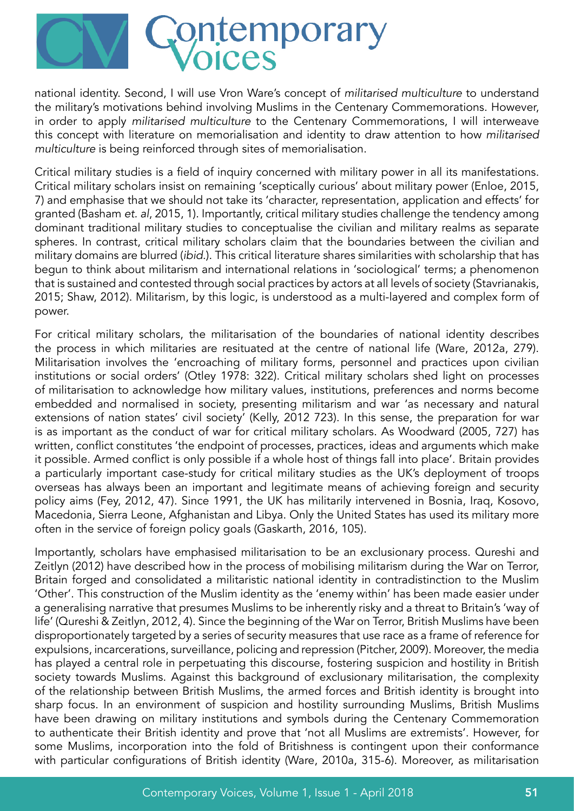

national identity. Second, I will use Vron Ware's concept of militarised multiculture to understand the military's motivations behind involving Muslims in the Centenary Commemorations. However, in order to apply militarised multiculture to the Centenary Commemorations, I will interweave this concept with literature on memorialisation and identity to draw attention to how militarised multiculture is being reinforced through sites of memorialisation.

Critical military studies is a field of inquiry concerned with military power in all its manifestations. Critical military scholars insist on remaining 'sceptically curious' about military power (Enloe, 2015, 7) and emphasise that we should not take its 'character, representation, application and effects' for granted (Basham et. al, 2015, 1). Importantly, critical military studies challenge the tendency among dominant traditional military studies to conceptualise the civilian and military realms as separate spheres. In contrast, critical military scholars claim that the boundaries between the civilian and military domains are blurred (ibid.). This critical literature shares similarities with scholarship that has begun to think about militarism and international relations in 'sociological' terms; a phenomenon that is sustained and contested through social practices by actors at all levels of society (Stavrianakis, 2015; Shaw, 2012). Militarism, by this logic, is understood as a multi-layered and complex form of power.

For critical military scholars, the militarisation of the boundaries of national identity describes the process in which militaries are resituated at the centre of national life (Ware, 2012a, 279). Militarisation involves the 'encroaching of military forms, personnel and practices upon civilian institutions or social orders' (Otley 1978: 322). Critical military scholars shed light on processes of militarisation to acknowledge how military values, institutions, preferences and norms become embedded and normalised in society, presenting militarism and war 'as necessary and natural extensions of nation states' civil society' (Kelly, 2012 723). In this sense, the preparation for war is as important as the conduct of war for critical military scholars. As Woodward (2005, 727) has written, conflict constitutes 'the endpoint of processes, practices, ideas and arguments which make it possible. Armed conflict is only possible if a whole host of things fall into place'. Britain provides a particularly important case-study for critical military studies as the UK's deployment of troops overseas has always been an important and legitimate means of achieving foreign and security policy aims (Fey, 2012, 47). Since 1991, the UK has militarily intervened in Bosnia, Iraq, Kosovo, Macedonia, Sierra Leone, Afghanistan and Libya. Only the United States has used its military more often in the service of foreign policy goals (Gaskarth, 2016, 105).

Importantly, scholars have emphasised militarisation to be an exclusionary process. Qureshi and Zeitlyn (2012) have described how in the process of mobilising militarism during the War on Terror, Britain forged and consolidated a militaristic national identity in contradistinction to the Muslim 'Other'. This construction of the Muslim identity as the 'enemy within' has been made easier under a generalising narrative that presumes Muslims to be inherently risky and a threat to Britain's 'way of life' (Qureshi & Zeitlyn, 2012, 4). Since the beginning of the War on Terror, British Muslims have been disproportionately targeted by a series of security measures that use race as a frame of reference for expulsions, incarcerations, surveillance, policing and repression (Pitcher, 2009). Moreover, the media has played a central role in perpetuating this discourse, fostering suspicion and hostility in British society towards Muslims. Against this background of exclusionary militarisation, the complexity of the relationship between British Muslims, the armed forces and British identity is brought into sharp focus. In an environment of suspicion and hostility surrounding Muslims, British Muslims have been drawing on military institutions and symbols during the Centenary Commemoration to authenticate their British identity and prove that 'not all Muslims are extremists'. However, for some Muslims, incorporation into the fold of Britishness is contingent upon their conformance with particular configurations of British identity (Ware, 2010a, 315-6). Moreover, as militarisation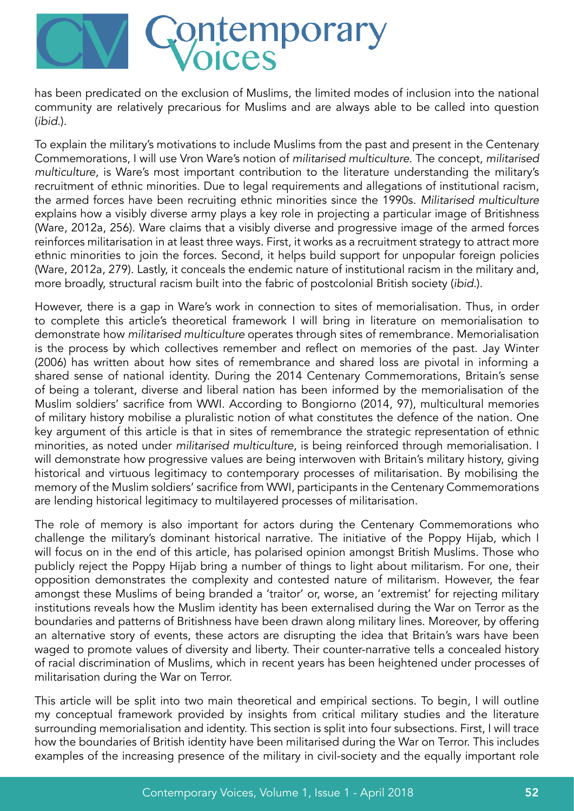

has been predicated on the exclusion of Muslims, the limited modes of inclusion into the national community are relatively precarious for Muslims and are always able to be called into question (ibid.).

To explain the military's motivations to include Muslims from the past and present in the Centenary Commemorations, I will use Vron Ware's notion of militarised multiculture. The concept, militarised multiculture, is Ware's most important contribution to the literature understanding the military's recruitment of ethnic minorities. Due to legal requirements and allegations of institutional racism, the armed forces have been recruiting ethnic minorities since the 1990s. Militarised multiculture explains how a visibly diverse army plays a key role in projecting a particular image of Britishness (Ware, 2012a, 256). Ware claims that a visibly diverse and progressive image of the armed forces reinforces militarisation in at least three ways. First, it works as a recruitment strategy to attract more ethnic minorities to join the forces. Second, it helps build support for unpopular foreign policies (Ware, 2012a, 279). Lastly, it conceals the endemic nature of institutional racism in the military and, more broadly, structural racism built into the fabric of postcolonial British society (ibid.).

However, there is a gap in Ware's work in connection to sites of memorialisation. Thus, in order to complete this article's theoretical framework I will bring in literature on memorialisation to demonstrate how militarised multiculture operates through sites of remembrance. Memorialisation is the process by which collectives remember and reflect on memories of the past. Jay Winter (2006) has written about how sites of remembrance and shared loss are pivotal in informing a shared sense of national identity. During the 2014 Centenary Commemorations, Britain's sense of being a tolerant, diverse and liberal nation has been informed by the memorialisation of the Muslim soldiers' sacrifice from WWI. According to Bongiorno (2014, 97), multicultural memories of military history mobilise a pluralistic notion of what constitutes the defence of the nation. One key argument of this article is that in sites of remembrance the strategic representation of ethnic minorities, as noted under militarised multiculture, is being reinforced through memorialisation. I will demonstrate how progressive values are being interwoven with Britain's military history, giving historical and virtuous legitimacy to contemporary processes of militarisation. By mobilising the memory of the Muslim soldiers' sacrifice from WWI, participants in the Centenary Commemorations are lending historical legitimacy to multilayered processes of militarisation.

The role of memory is also important for actors during the Centenary Commemorations who challenge the military's dominant historical narrative. The initiative of the Poppy Hijab, which I will focus on in the end of this article, has polarised opinion amongst British Muslims. Those who publicly reject the Poppy Hijab bring a number of things to light about militarism. For one, their opposition demonstrates the complexity and contested nature of militarism. However, the fear amongst these Muslims of being branded a 'traitor' or, worse, an 'extremist' for rejecting military institutions reveals how the Muslim identity has been externalised during the War on Terror as the boundaries and patterns of Britishness have been drawn along military lines. Moreover, by offering an alternative story of events, these actors are disrupting the idea that Britain's wars have been waged to promote values of diversity and liberty. Their counter-narrative tells a concealed history of racial discrimination of Muslims, which in recent years has been heightened under processes of militarisation during the War on Terror.

This article will be split into two main theoretical and empirical sections. To begin, I will outline my conceptual framework provided by insights from critical military studies and the literature surrounding memorialisation and identity. This section is split into four subsections. First, I will trace how the boundaries of British identity have been militarised during the War on Terror. This includes examples of the increasing presence of the military in civil-society and the equally important role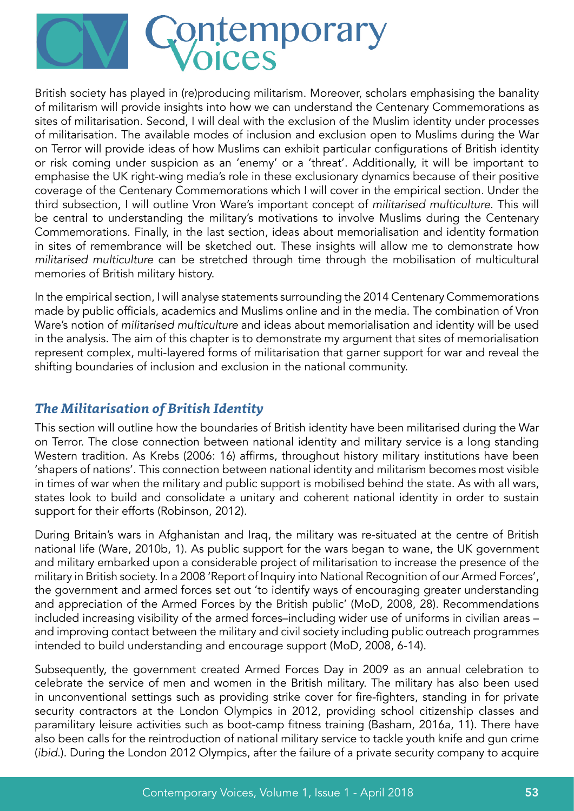

British society has played in (re)producing militarism. Moreover, scholars emphasising the banality of militarism will provide insights into how we can understand the Centenary Commemorations as sites of militarisation. Second, I will deal with the exclusion of the Muslim identity under processes of militarisation. The available modes of inclusion and exclusion open to Muslims during the War on Terror will provide ideas of how Muslims can exhibit particular configurations of British identity or risk coming under suspicion as an 'enemy' or a 'threat'. Additionally, it will be important to emphasise the UK right-wing media's role in these exclusionary dynamics because of their positive coverage of the Centenary Commemorations which I will cover in the empirical section. Under the third subsection, I will outline Vron Ware's important concept of militarised multiculture. This will be central to understanding the military's motivations to involve Muslims during the Centenary Commemorations. Finally, in the last section, ideas about memorialisation and identity formation in sites of remembrance will be sketched out. These insights will allow me to demonstrate how militarised multiculture can be stretched through time through the mobilisation of multicultural memories of British military history.

In the empirical section, I will analyse statements surrounding the 2014 Centenary Commemorations made by public officials, academics and Muslims online and in the media. The combination of Vron Ware's notion of militarised multiculture and ideas about memorialisation and identity will be used in the analysis. The aim of this chapter is to demonstrate my argument that sites of memorialisation represent complex, multi-layered forms of militarisation that garner support for war and reveal the shifting boundaries of inclusion and exclusion in the national community.

## *The Militarisation of British Identity*

This section will outline how the boundaries of British identity have been militarised during the War on Terror. The close connection between national identity and military service is a long standing Western tradition. As Krebs (2006: 16) affirms, throughout history military institutions have been 'shapers of nations'. This connection between national identity and militarism becomes most visible in times of war when the military and public support is mobilised behind the state. As with all wars, states look to build and consolidate a unitary and coherent national identity in order to sustain support for their efforts (Robinson, 2012).

During Britain's wars in Afghanistan and Iraq, the military was re-situated at the centre of British national life (Ware, 2010b, 1). As public support for the wars began to wane, the UK government and military embarked upon a considerable project of militarisation to increase the presence of the military in British society. In a 2008 'Report of Inquiry into National Recognition of our Armed Forces', the government and armed forces set out 'to identify ways of encouraging greater understanding and appreciation of the Armed Forces by the British public' (MoD, 2008, 28). Recommendations included increasing visibility of the armed forces–including wider use of uniforms in civilian areas – and improving contact between the military and civil society including public outreach programmes intended to build understanding and encourage support (MoD, 2008, 6-14).

Subsequently, the government created Armed Forces Day in 2009 as an annual celebration to celebrate the service of men and women in the British military. The military has also been used in unconventional settings such as providing strike cover for fire-fighters, standing in for private security contractors at the London Olympics in 2012, providing school citizenship classes and paramilitary leisure activities such as boot-camp fitness training (Basham, 2016a, 11). There have also been calls for the reintroduction of national military service to tackle youth knife and gun crime (ibid.). During the London 2012 Olympics, after the failure of a private security company to acquire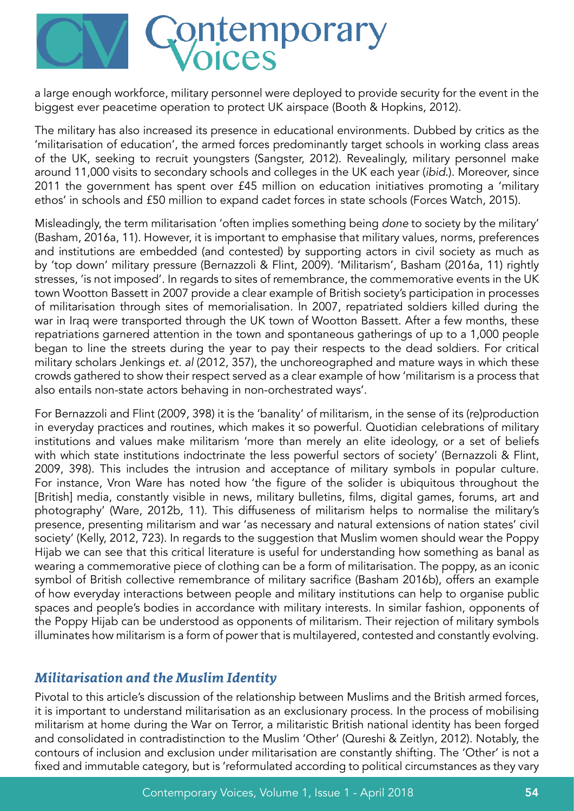

a large enough workforce, military personnel were deployed to provide security for the event in the biggest ever peacetime operation to protect UK airspace (Booth & Hopkins, 2012).

The military has also increased its presence in educational environments. Dubbed by critics as the 'militarisation of education', the armed forces predominantly target schools in working class areas of the UK, seeking to recruit youngsters (Sangster, 2012). Revealingly, military personnel make around 11,000 visits to secondary schools and colleges in the UK each year (ibid.). Moreover, since 2011 the government has spent over £45 million on education initiatives promoting a 'military ethos' in schools and £50 million to expand cadet forces in state schools (Forces Watch, 2015).

Misleadingly, the term militarisation 'often implies something being done to society by the military' (Basham, 2016a, 11). However, it is important to emphasise that military values, norms, preferences and institutions are embedded (and contested) by supporting actors in civil society as much as by 'top down' military pressure (Bernazzoli & Flint, 2009). 'Militarism', Basham (2016a, 11) rightly stresses, 'is not imposed'. In regards to sites of remembrance, the commemorative events in the UK town Wootton Bassett in 2007 provide a clear example of British society's participation in processes of militarisation through sites of memorialisation. In 2007, repatriated soldiers killed during the war in Iraq were transported through the UK town of Wootton Bassett. After a few months, these repatriations garnered attention in the town and spontaneous gatherings of up to a 1,000 people began to line the streets during the year to pay their respects to the dead soldiers. For critical military scholars Jenkings et. al (2012, 357), the unchoreographed and mature ways in which these crowds gathered to show their respect served as a clear example of how 'militarism is a process that also entails non-state actors behaving in non-orchestrated ways'.

For Bernazzoli and Flint (2009, 398) it is the 'banality' of militarism, in the sense of its (re)production in everyday practices and routines, which makes it so powerful. Quotidian celebrations of military institutions and values make militarism 'more than merely an elite ideology, or a set of beliefs with which state institutions indoctrinate the less powerful sectors of society' (Bernazzoli & Flint, 2009, 398). This includes the intrusion and acceptance of military symbols in popular culture. For instance, Vron Ware has noted how 'the figure of the solider is ubiquitous throughout the [British] media, constantly visible in news, military bulletins, films, digital games, forums, art and photography' (Ware, 2012b, 11). This diffuseness of militarism helps to normalise the military's presence, presenting militarism and war 'as necessary and natural extensions of nation states' civil society' (Kelly, 2012, 723). In regards to the suggestion that Muslim women should wear the Poppy Hijab we can see that this critical literature is useful for understanding how something as banal as wearing a commemorative piece of clothing can be a form of militarisation. The poppy, as an iconic symbol of British collective remembrance of military sacrifice (Basham 2016b), offers an example of how everyday interactions between people and military institutions can help to organise public spaces and people's bodies in accordance with military interests. In similar fashion, opponents of the Poppy Hijab can be understood as opponents of militarism. Their rejection of military symbols illuminates how militarism is a form of power that is multilayered, contested and constantly evolving.

#### *Militarisation and the Muslim Identity*

Pivotal to this article's discussion of the relationship between Muslims and the British armed forces, it is important to understand militarisation as an exclusionary process. In the process of mobilising militarism at home during the War on Terror, a militaristic British national identity has been forged and consolidated in contradistinction to the Muslim 'Other' (Qureshi & Zeitlyn, 2012). Notably, the contours of inclusion and exclusion under militarisation are constantly shifting. The 'Other' is not a fixed and immutable category, but is 'reformulated according to political circumstances as they vary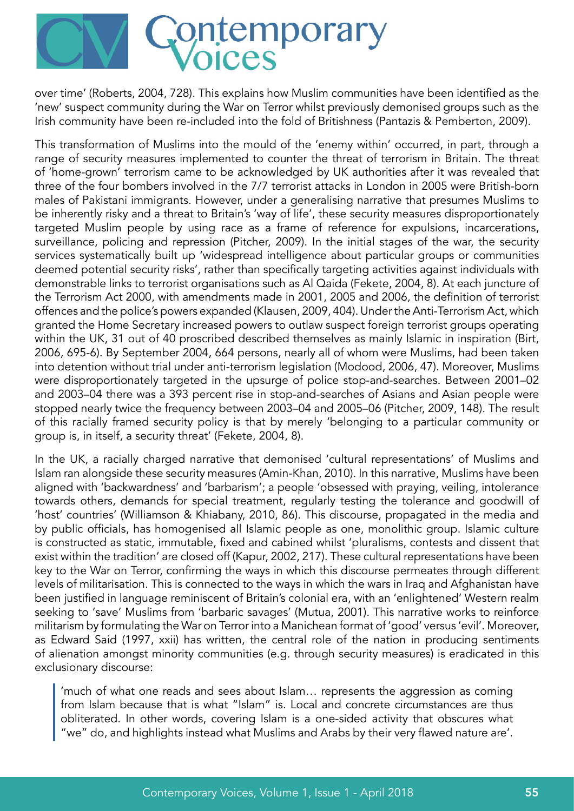

over time' (Roberts, 2004, 728). This explains how Muslim communities have been identified as the 'new' suspect community during the War on Terror whilst previously demonised groups such as the Irish community have been re-included into the fold of Britishness (Pantazis & Pemberton, 2009).

This transformation of Muslims into the mould of the 'enemy within' occurred, in part, through a range of security measures implemented to counter the threat of terrorism in Britain. The threat of 'home-grown' terrorism came to be acknowledged by UK authorities after it was revealed that three of the four bombers involved in the 7/7 terrorist attacks in London in 2005 were British-born males of Pakistani immigrants. However, under a generalising narrative that presumes Muslims to be inherently risky and a threat to Britain's 'way of life', these security measures disproportionately targeted Muslim people by using race as a frame of reference for expulsions, incarcerations, surveillance, policing and repression (Pitcher, 2009). In the initial stages of the war, the security services systematically built up 'widespread intelligence about particular groups or communities deemed potential security risks', rather than specifically targeting activities against individuals with demonstrable links to terrorist organisations such as Al Qaida (Fekete, 2004, 8). At each juncture of the Terrorism Act 2000, with amendments made in 2001, 2005 and 2006, the definition of terrorist offences and the police's powers expanded (Klausen, 2009, 404). Under the Anti-Terrorism Act, which granted the Home Secretary increased powers to outlaw suspect foreign terrorist groups operating within the UK, 31 out of 40 proscribed described themselves as mainly Islamic in inspiration (Birt, 2006, 695-6). By September 2004, 664 persons, nearly all of whom were Muslims, had been taken into detention without trial under anti-terrorism legislation (Modood, 2006, 47). Moreover, Muslims were disproportionately targeted in the upsurge of police stop-and-searches. Between 2001–02 and 2003–04 there was a 393 percent rise in stop-and-searches of Asians and Asian people were stopped nearly twice the frequency between 2003–04 and 2005–06 (Pitcher, 2009, 148). The result of this racially framed security policy is that by merely 'belonging to a particular community or group is, in itself, a security threat' (Fekete, 2004, 8).

In the UK, a racially charged narrative that demonised 'cultural representations' of Muslims and Islam ran alongside these security measures (Amin-Khan, 2010). In this narrative, Muslims have been aligned with 'backwardness' and 'barbarism'; a people 'obsessed with praying, veiling, intolerance towards others, demands for special treatment, regularly testing the tolerance and goodwill of 'host' countries' (Williamson & Khiabany, 2010, 86). This discourse, propagated in the media and by public officials, has homogenised all Islamic people as one, monolithic group. Islamic culture is constructed as static, immutable, fixed and cabined whilst 'pluralisms, contests and dissent that exist within the tradition' are closed off (Kapur, 2002, 217). These cultural representations have been key to the War on Terror, confirming the ways in which this discourse permeates through different levels of militarisation. This is connected to the ways in which the wars in Iraq and Afghanistan have been justified in language reminiscent of Britain's colonial era, with an 'enlightened' Western realm seeking to 'save' Muslims from 'barbaric savages' (Mutua, 2001). This narrative works to reinforce militarism by formulating the War on Terror into a Manichean format of 'good' versus 'evil'. Moreover, as Edward Said (1997, xxii) has written, the central role of the nation in producing sentiments of alienation amongst minority communities (e.g. through security measures) is eradicated in this exclusionary discourse:

'much of what one reads and sees about Islam… represents the aggression as coming from Islam because that is what "Islam" is. Local and concrete circumstances are thus obliterated. In other words, covering Islam is a one-sided activity that obscures what "we" do, and highlights instead what Muslims and Arabs by their very flawed nature are'.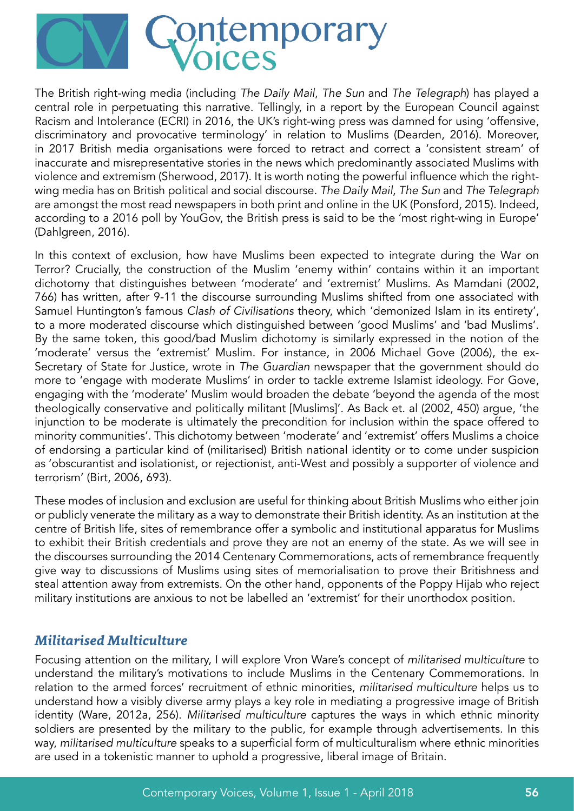

The British right-wing media (including The Daily Mail, The Sun and The Telegraph) has played a central role in perpetuating this narrative. Tellingly, in a report by the European Council against Racism and Intolerance (ECRI) in 2016, the UK's right-wing press was damned for using 'offensive, discriminatory and provocative terminology' in relation to Muslims (Dearden, 2016). Moreover, in 2017 British media organisations were forced to retract and correct a 'consistent stream' of inaccurate and misrepresentative stories in the news which predominantly associated Muslims with violence and extremism (Sherwood, 2017). It is worth noting the powerful influence which the rightwing media has on British political and social discourse. The Daily Mail, The Sun and The Telegraph are amongst the most read newspapers in both print and online in the UK (Ponsford, 2015). Indeed, according to a 2016 poll by YouGov, the British press is said to be the 'most right-wing in Europe' (Dahlgreen, 2016).

In this context of exclusion, how have Muslims been expected to integrate during the War on Terror? Crucially, the construction of the Muslim 'enemy within' contains within it an important dichotomy that distinguishes between 'moderate' and 'extremist' Muslims. As Mamdani (2002, 766) has written, after 9-11 the discourse surrounding Muslims shifted from one associated with Samuel Huntington's famous Clash of Civilisations theory, which 'demonized Islam in its entirety', to a more moderated discourse which distinguished between 'good Muslims' and 'bad Muslims'. By the same token, this good/bad Muslim dichotomy is similarly expressed in the notion of the 'moderate' versus the 'extremist' Muslim. For instance, in 2006 Michael Gove (2006), the ex-Secretary of State for Justice, wrote in The Guardian newspaper that the government should do more to 'engage with moderate Muslims' in order to tackle extreme Islamist ideology. For Gove, engaging with the 'moderate' Muslim would broaden the debate 'beyond the agenda of the most theologically conservative and politically militant [Muslims]'. As Back et. al (2002, 450) argue, 'the injunction to be moderate is ultimately the precondition for inclusion within the space offered to minority communities'. This dichotomy between 'moderate' and 'extremist' offers Muslims a choice of endorsing a particular kind of (militarised) British national identity or to come under suspicion as 'obscurantist and isolationist, or rejectionist, anti-West and possibly a supporter of violence and terrorism' (Birt, 2006, 693).

These modes of inclusion and exclusion are useful for thinking about British Muslims who either join or publicly venerate the military as a way to demonstrate their British identity. As an institution at the centre of British life, sites of remembrance offer a symbolic and institutional apparatus for Muslims to exhibit their British credentials and prove they are not an enemy of the state. As we will see in the discourses surrounding the 2014 Centenary Commemorations, acts of remembrance frequently give way to discussions of Muslims using sites of memorialisation to prove their Britishness and steal attention away from extremists. On the other hand, opponents of the Poppy Hijab who reject military institutions are anxious to not be labelled an 'extremist' for their unorthodox position.

### *Militarised Multiculture*

Focusing attention on the military, I will explore Vron Ware's concept of militarised multiculture to understand the military's motivations to include Muslims in the Centenary Commemorations. In relation to the armed forces' recruitment of ethnic minorities, militarised multiculture helps us to understand how a visibly diverse army plays a key role in mediating a progressive image of British identity (Ware, 2012a, 256). Militarised multiculture captures the ways in which ethnic minority soldiers are presented by the military to the public, for example through advertisements. In this way, militarised multiculture speaks to a superficial form of multiculturalism where ethnic minorities are used in a tokenistic manner to uphold a progressive, liberal image of Britain.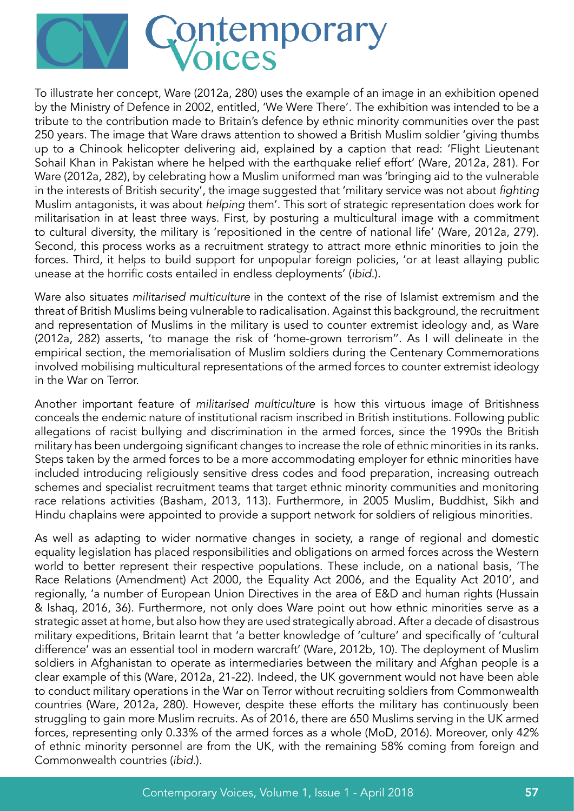

To illustrate her concept, Ware (2012a, 280) uses the example of an image in an exhibition opened by the Ministry of Defence in 2002, entitled, 'We Were There'. The exhibition was intended to be a tribute to the contribution made to Britain's defence by ethnic minority communities over the past 250 years. The image that Ware draws attention to showed a British Muslim soldier 'giving thumbs up to a Chinook helicopter delivering aid, explained by a caption that read: 'Flight Lieutenant Sohail Khan in Pakistan where he helped with the earthquake relief effort' (Ware, 2012a, 281). For Ware (2012a, 282), by celebrating how a Muslim uniformed man was 'bringing aid to the vulnerable in the interests of British security', the image suggested that 'military service was not about fighting Muslim antagonists, it was about helping them'. This sort of strategic representation does work for militarisation in at least three ways. First, by posturing a multicultural image with a commitment to cultural diversity, the military is 'repositioned in the centre of national life' (Ware, 2012a, 279). Second, this process works as a recruitment strategy to attract more ethnic minorities to join the forces. Third, it helps to build support for unpopular foreign policies, 'or at least allaying public unease at the horrific costs entailed in endless deployments' (ibid.).

Ware also situates militarised multiculture in the context of the rise of Islamist extremism and the threat of British Muslims being vulnerable to radicalisation. Against this background, the recruitment and representation of Muslims in the military is used to counter extremist ideology and, as Ware (2012a, 282) asserts, 'to manage the risk of 'home-grown terrorism''. As I will delineate in the empirical section, the memorialisation of Muslim soldiers during the Centenary Commemorations involved mobilising multicultural representations of the armed forces to counter extremist ideology in the War on Terror.

Another important feature of militarised multiculture is how this virtuous image of Britishness conceals the endemic nature of institutional racism inscribed in British institutions. Following public allegations of racist bullying and discrimination in the armed forces, since the 1990s the British military has been undergoing significant changes to increase the role of ethnic minorities in its ranks. Steps taken by the armed forces to be a more accommodating employer for ethnic minorities have included introducing religiously sensitive dress codes and food preparation, increasing outreach schemes and specialist recruitment teams that target ethnic minority communities and monitoring race relations activities (Basham, 2013, 113). Furthermore, in 2005 Muslim, Buddhist, Sikh and Hindu chaplains were appointed to provide a support network for soldiers of religious minorities.

As well as adapting to wider normative changes in society, a range of regional and domestic equality legislation has placed responsibilities and obligations on armed forces across the Western world to better represent their respective populations. These include, on a national basis, 'The Race Relations (Amendment) Act 2000, the Equality Act 2006, and the Equality Act 2010', and regionally, 'a number of European Union Directives in the area of E&D and human rights (Hussain & Ishaq, 2016, 36). Furthermore, not only does Ware point out how ethnic minorities serve as a strategic asset at home, but also how they are used strategically abroad. After a decade of disastrous military expeditions, Britain learnt that 'a better knowledge of 'culture' and specifically of 'cultural difference' was an essential tool in modern warcraft' (Ware, 2012b, 10). The deployment of Muslim soldiers in Afghanistan to operate as intermediaries between the military and Afghan people is a clear example of this (Ware, 2012a, 21-22). Indeed, the UK government would not have been able to conduct military operations in the War on Terror without recruiting soldiers from Commonwealth countries (Ware, 2012a, 280). However, despite these efforts the military has continuously been struggling to gain more Muslim recruits. As of 2016, there are 650 Muslims serving in the UK armed forces, representing only 0.33% of the armed forces as a whole (MoD, 2016). Moreover, only 42% of ethnic minority personnel are from the UK, with the remaining 58% coming from foreign and Commonwealth countries (ibid.).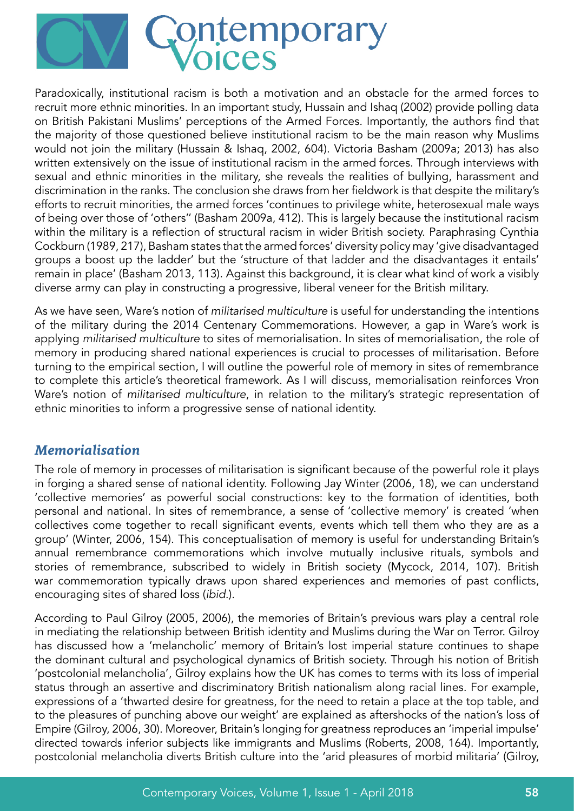

Paradoxically, institutional racism is both a motivation and an obstacle for the armed forces to recruit more ethnic minorities. In an important study, Hussain and Ishaq (2002) provide polling data on British Pakistani Muslims' perceptions of the Armed Forces. Importantly, the authors find that the majority of those questioned believe institutional racism to be the main reason why Muslims would not join the military (Hussain & Ishaq, 2002, 604). Victoria Basham (2009a; 2013) has also written extensively on the issue of institutional racism in the armed forces. Through interviews with sexual and ethnic minorities in the military, she reveals the realities of bullying, harassment and discrimination in the ranks. The conclusion she draws from her fieldwork is that despite the military's efforts to recruit minorities, the armed forces 'continues to privilege white, heterosexual male ways of being over those of 'others'' (Basham 2009a, 412). This is largely because the institutional racism within the military is a reflection of structural racism in wider British society. Paraphrasing Cynthia Cockburn (1989, 217), Basham states that the armed forces' diversity policy may 'give disadvantaged groups a boost up the ladder' but the 'structure of that ladder and the disadvantages it entails' remain in place' (Basham 2013, 113). Against this background, it is clear what kind of work a visibly diverse army can play in constructing a progressive, liberal veneer for the British military.

As we have seen, Ware's notion of militarised multiculture is useful for understanding the intentions of the military during the 2014 Centenary Commemorations. However, a gap in Ware's work is applying militarised multiculture to sites of memorialisation. In sites of memorialisation, the role of memory in producing shared national experiences is crucial to processes of militarisation. Before turning to the empirical section, I will outline the powerful role of memory in sites of remembrance to complete this article's theoretical framework. As I will discuss, memorialisation reinforces Vron Ware's notion of militarised multiculture, in relation to the military's strategic representation of ethnic minorities to inform a progressive sense of national identity.

#### *Memorialisation*

The role of memory in processes of militarisation is significant because of the powerful role it plays in forging a shared sense of national identity. Following Jay Winter (2006, 18), we can understand 'collective memories' as powerful social constructions: key to the formation of identities, both personal and national. In sites of remembrance, a sense of 'collective memory' is created 'when collectives come together to recall significant events, events which tell them who they are as a group' (Winter, 2006, 154). This conceptualisation of memory is useful for understanding Britain's annual remembrance commemorations which involve mutually inclusive rituals, symbols and stories of remembrance, subscribed to widely in British society (Mycock, 2014, 107). British war commemoration typically draws upon shared experiences and memories of past conflicts, encouraging sites of shared loss (ibid.).

According to Paul Gilroy (2005, 2006), the memories of Britain's previous wars play a central role in mediating the relationship between British identity and Muslims during the War on Terror. Gilroy has discussed how a 'melancholic' memory of Britain's lost imperial stature continues to shape the dominant cultural and psychological dynamics of British society. Through his notion of British 'postcolonial melancholia', Gilroy explains how the UK has comes to terms with its loss of imperial status through an assertive and discriminatory British nationalism along racial lines. For example, expressions of a 'thwarted desire for greatness, for the need to retain a place at the top table, and to the pleasures of punching above our weight' are explained as aftershocks of the nation's loss of Empire (Gilroy, 2006, 30). Moreover, Britain's longing for greatness reproduces an 'imperial impulse' directed towards inferior subjects like immigrants and Muslims (Roberts, 2008, 164). Importantly, postcolonial melancholia diverts British culture into the 'arid pleasures of morbid militaria' (Gilroy,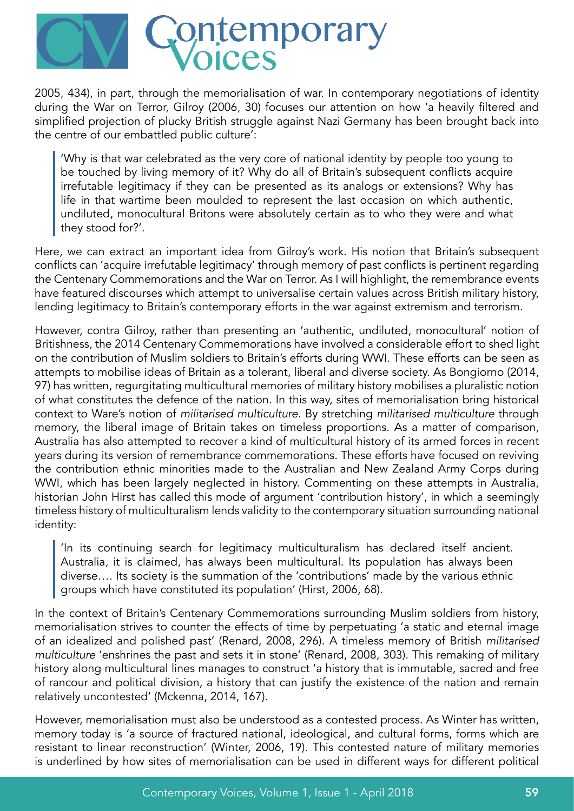

2005, 434), in part, through the memorialisation of war. In contemporary negotiations of identity during the War on Terror, Gilroy (2006, 30) focuses our attention on how 'a heavily filtered and simplified projection of plucky British struggle against Nazi Germany has been brought back into the centre of our embattled public culture':

'Why is that war celebrated as the very core of national identity by people too young to be touched by living memory of it? Why do all of Britain's subsequent conflicts acquire irrefutable legitimacy if they can be presented as its analogs or extensions? Why has life in that wartime been moulded to represent the last occasion on which authentic, undiluted, monocultural Britons were absolutely certain as to who they were and what they stood for?'.

Here, we can extract an important idea from Gilroy's work. His notion that Britain's subsequent conflicts can 'acquire irrefutable legitimacy' through memory of past conflicts is pertinent regarding the Centenary Commemorations and the War on Terror. As I will highlight, the remembrance events have featured discourses which attempt to universalise certain values across British military history, lending legitimacy to Britain's contemporary efforts in the war against extremism and terrorism.

However, contra Gilroy, rather than presenting an 'authentic, undiluted, monocultural' notion of Britishness, the 2014 Centenary Commemorations have involved a considerable effort to shed light on the contribution of Muslim soldiers to Britain's efforts during WWI. These efforts can be seen as attempts to mobilise ideas of Britain as a tolerant, liberal and diverse society. As Bongiorno (2014, 97) has written, regurgitating multicultural memories of military history mobilises a pluralistic notion of what constitutes the defence of the nation. In this way, sites of memorialisation bring historical context to Ware's notion of militarised multiculture. By stretching militarised multiculture through memory, the liberal image of Britain takes on timeless proportions. As a matter of comparison, Australia has also attempted to recover a kind of multicultural history of its armed forces in recent years during its version of remembrance commemorations. These efforts have focused on reviving the contribution ethnic minorities made to the Australian and New Zealand Army Corps during WWI, which has been largely neglected in history. Commenting on these attempts in Australia, historian John Hirst has called this mode of argument 'contribution history', in which a seemingly timeless history of multiculturalism lends validity to the contemporary situation surrounding national identity:

'In its continuing search for legitimacy multiculturalism has declared itself ancient. Australia, it is claimed, has always been multicultural. Its population has always been diverse…. Its society is the summation of the 'contributions' made by the various ethnic groups which have constituted its population' (Hirst, 2006, 68).

In the context of Britain's Centenary Commemorations surrounding Muslim soldiers from history, memorialisation strives to counter the effects of time by perpetuating 'a static and eternal image of an idealized and polished past' (Renard, 2008, 296). A timeless memory of British militarised multiculture 'enshrines the past and sets it in stone' (Renard, 2008, 303). This remaking of military history along multicultural lines manages to construct 'a history that is immutable, sacred and free of rancour and political division, a history that can justify the existence of the nation and remain relatively uncontested' (Mckenna, 2014, 167).

However, memorialisation must also be understood as a contested process. As Winter has written, memory today is 'a source of fractured national, ideological, and cultural forms, forms which are resistant to linear reconstruction' (Winter, 2006, 19). This contested nature of military memories is underlined by how sites of memorialisation can be used in different ways for different political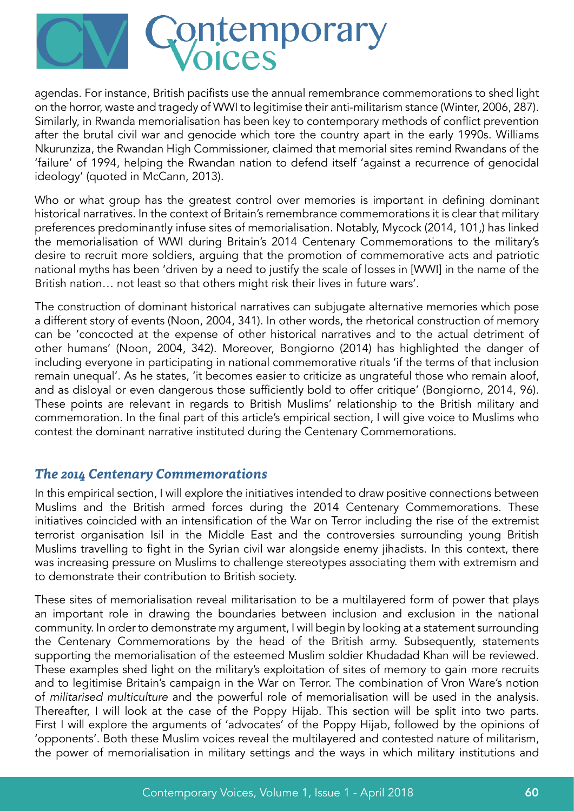

agendas. For instance, British pacifists use the annual remembrance commemorations to shed light on the horror, waste and tragedy of WWI to legitimise their anti-militarism stance (Winter, 2006, 287). Similarly, in Rwanda memorialisation has been key to contemporary methods of conflict prevention after the brutal civil war and genocide which tore the country apart in the early 1990s. Williams Nkurunziza, the Rwandan High Commissioner, claimed that memorial sites remind Rwandans of the 'failure' of 1994, helping the Rwandan nation to defend itself 'against a recurrence of genocidal ideology' (quoted in McCann, 2013).

Who or what group has the greatest control over memories is important in defining dominant historical narratives. In the context of Britain's remembrance commemorations it is clear that military preferences predominantly infuse sites of memorialisation. Notably, Mycock (2014, 101,) has linked the memorialisation of WWI during Britain's 2014 Centenary Commemorations to the military's desire to recruit more soldiers, arguing that the promotion of commemorative acts and patriotic national myths has been 'driven by a need to justify the scale of losses in [WWI] in the name of the British nation… not least so that others might risk their lives in future wars'.

The construction of dominant historical narratives can subjugate alternative memories which pose a different story of events (Noon, 2004, 341). In other words, the rhetorical construction of memory can be 'concocted at the expense of other historical narratives and to the actual detriment of other humans' (Noon, 2004, 342). Moreover, Bongiorno (2014) has highlighted the danger of including everyone in participating in national commemorative rituals 'if the terms of that inclusion remain unequal'. As he states, 'it becomes easier to criticize as ungrateful those who remain aloof, and as disloyal or even dangerous those sufficiently bold to offer critique' (Bongiorno, 2014, 96). These points are relevant in regards to British Muslims' relationship to the British military and commemoration. In the final part of this article's empirical section, I will give voice to Muslims who contest the dominant narrative instituted during the Centenary Commemorations.

#### *The 2014 Centenary Commemorations*

In this empirical section, I will explore the initiatives intended to draw positive connections between Muslims and the British armed forces during the 2014 Centenary Commemorations. These initiatives coincided with an intensification of the War on Terror including the rise of the extremist terrorist organisation Isil in the Middle East and the controversies surrounding young British Muslims travelling to fight in the Syrian civil war alongside enemy jihadists. In this context, there was increasing pressure on Muslims to challenge stereotypes associating them with extremism and to demonstrate their contribution to British society.

These sites of memorialisation reveal militarisation to be a multilayered form of power that plays an important role in drawing the boundaries between inclusion and exclusion in the national community. In order to demonstrate my argument, I will begin by looking at a statement surrounding the Centenary Commemorations by the head of the British army. Subsequently, statements supporting the memorialisation of the esteemed Muslim soldier Khudadad Khan will be reviewed. These examples shed light on the military's exploitation of sites of memory to gain more recruits and to legitimise Britain's campaign in the War on Terror. The combination of Vron Ware's notion of militarised multiculture and the powerful role of memorialisation will be used in the analysis. Thereafter, I will look at the case of the Poppy Hijab. This section will be split into two parts. First I will explore the arguments of 'advocates' of the Poppy Hijab, followed by the opinions of 'opponents'. Both these Muslim voices reveal the multilayered and contested nature of militarism, the power of memorialisation in military settings and the ways in which military institutions and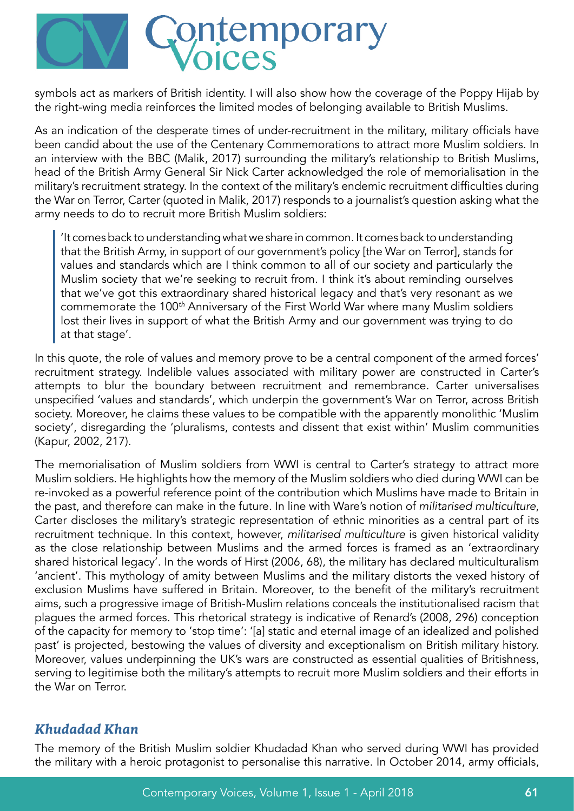

symbols act as markers of British identity. I will also show how the coverage of the Poppy Hijab by the right-wing media reinforces the limited modes of belonging available to British Muslims.

As an indication of the desperate times of under-recruitment in the military, military officials have been candid about the use of the Centenary Commemorations to attract more Muslim soldiers. In an interview with the BBC (Malik, 2017) surrounding the military's relationship to British Muslims, head of the British Army General Sir Nick Carter acknowledged the role of memorialisation in the military's recruitment strategy. In the context of the military's endemic recruitment difficulties during the War on Terror, Carter (quoted in Malik, 2017) responds to a journalist's question asking what the army needs to do to recruit more British Muslim soldiers:

'It comes back to understanding what we share in common. It comes back to understanding that the British Army, in support of our government's policy [the War on Terror], stands for values and standards which are I think common to all of our society and particularly the Muslim society that we're seeking to recruit from. I think it's about reminding ourselves that we've got this extraordinary shared historical legacy and that's very resonant as we commemorate the 100*th* Anniversary of the First World War where many Muslim soldiers lost their lives in support of what the British Army and our government was trying to do at that stage'.

In this quote, the role of values and memory prove to be a central component of the armed forces' recruitment strategy. Indelible values associated with military power are constructed in Carter's attempts to blur the boundary between recruitment and remembrance. Carter universalises unspecified 'values and standards', which underpin the government's War on Terror, across British society. Moreover, he claims these values to be compatible with the apparently monolithic 'Muslim society', disregarding the 'pluralisms, contests and dissent that exist within' Muslim communities (Kapur, 2002, 217).

The memorialisation of Muslim soldiers from WWI is central to Carter's strategy to attract more Muslim soldiers. He highlights how the memory of the Muslim soldiers who died during WWI can be re-invoked as a powerful reference point of the contribution which Muslims have made to Britain in the past, and therefore can make in the future. In line with Ware's notion of militarised multiculture, Carter discloses the military's strategic representation of ethnic minorities as a central part of its recruitment technique. In this context, however, militarised multiculture is given historical validity as the close relationship between Muslims and the armed forces is framed as an 'extraordinary shared historical legacy'. In the words of Hirst (2006, 68), the military has declared multiculturalism 'ancient'. This mythology of amity between Muslims and the military distorts the vexed history of exclusion Muslims have suffered in Britain. Moreover, to the benefit of the military's recruitment aims, such a progressive image of British-Muslim relations conceals the institutionalised racism that plagues the armed forces. This rhetorical strategy is indicative of Renard's (2008, 296) conception of the capacity for memory to 'stop time': '[a] static and eternal image of an idealized and polished past' is projected, bestowing the values of diversity and exceptionalism on British military history. Moreover, values underpinning the UK's wars are constructed as essential qualities of Britishness, serving to legitimise both the military's attempts to recruit more Muslim soldiers and their efforts in the War on Terror.

### *Khudadad Khan*

The memory of the British Muslim soldier Khudadad Khan who served during WWI has provided the military with a heroic protagonist to personalise this narrative. In October 2014, army officials,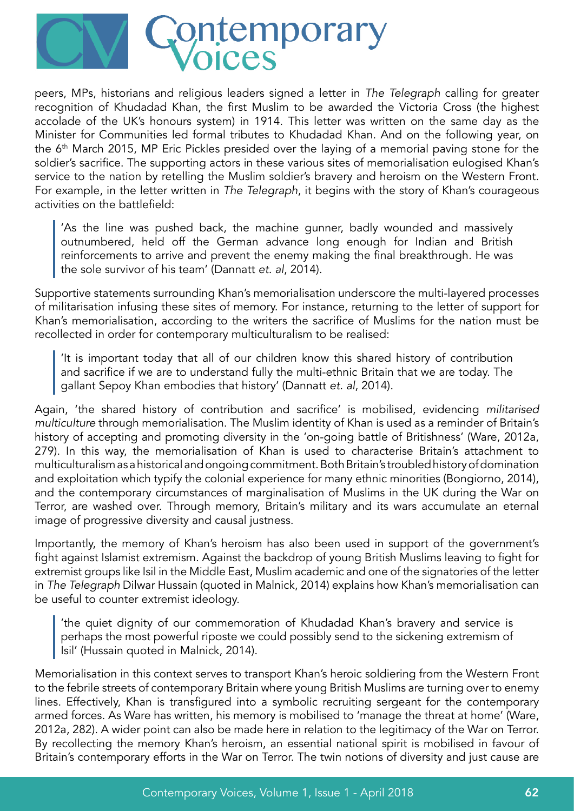

peers, MPs, historians and religious leaders signed a letter in The Telegraph calling for greater recognition of Khudadad Khan, the first Muslim to be awarded the Victoria Cross (the highest accolade of the UK's honours system) in 1914. This letter was written on the same day as the Minister for Communities led formal tributes to Khudadad Khan. And on the following year, on the 6<sup>th</sup> March 2015, MP Eric Pickles presided over the laying of a memorial paving stone for the soldier's sacrifice. The supporting actors in these various sites of memorialisation eulogised Khan's service to the nation by retelling the Muslim soldier's bravery and heroism on the Western Front. For example, in the letter written in The Telegraph, it begins with the story of Khan's courageous activities on the battlefield:

'As the line was pushed back, the machine gunner, badly wounded and massively outnumbered, held off the German advance long enough for Indian and British reinforcements to arrive and prevent the enemy making the final breakthrough. He was the sole survivor of his team' (Dannatt et. al, 2014).

Supportive statements surrounding Khan's memorialisation underscore the multi-layered processes of militarisation infusing these sites of memory. For instance, returning to the letter of support for Khan's memorialisation, according to the writers the sacrifice of Muslims for the nation must be recollected in order for contemporary multiculturalism to be realised:

'It is important today that all of our children know this shared history of contribution and sacrifice if we are to understand fully the multi-ethnic Britain that we are today. The gallant Sepoy Khan embodies that history' (Dannatt et. al, 2014).

Again, 'the shared history of contribution and sacrifice' is mobilised, evidencing militarised multiculture through memorialisation. The Muslim identity of Khan is used as a reminder of Britain's history of accepting and promoting diversity in the 'on-going battle of Britishness' (Ware, 2012a, 279). In this way, the memorialisation of Khan is used to characterise Britain's attachment to multiculturalism as a historical and ongoing commitment. Both Britain's troubled history of domination and exploitation which typify the colonial experience for many ethnic minorities (Bongiorno, 2014), and the contemporary circumstances of marginalisation of Muslims in the UK during the War on Terror, are washed over. Through memory, Britain's military and its wars accumulate an eternal image of progressive diversity and causal justness.

Importantly, the memory of Khan's heroism has also been used in support of the government's fight against Islamist extremism. Against the backdrop of young British Muslims leaving to fight for extremist groups like Isil in the Middle East, Muslim academic and one of the signatories of the letter in The Telegraph Dilwar Hussain (quoted in Malnick, 2014) explains how Khan's memorialisation can be useful to counter extremist ideology.

'the quiet dignity of our commemoration of Khudadad Khan's bravery and service is perhaps the most powerful riposte we could possibly send to the sickening extremism of Isil' (Hussain quoted in Malnick, 2014).

Memorialisation in this context serves to transport Khan's heroic soldiering from the Western Front to the febrile streets of contemporary Britain where young British Muslims are turning over to enemy lines. Effectively, Khan is transfigured into a symbolic recruiting sergeant for the contemporary armed forces. As Ware has written, his memory is mobilised to 'manage the threat at home' (Ware, 2012a, 282). A wider point can also be made here in relation to the legitimacy of the War on Terror. By recollecting the memory Khan's heroism, an essential national spirit is mobilised in favour of Britain's contemporary efforts in the War on Terror. The twin notions of diversity and just cause are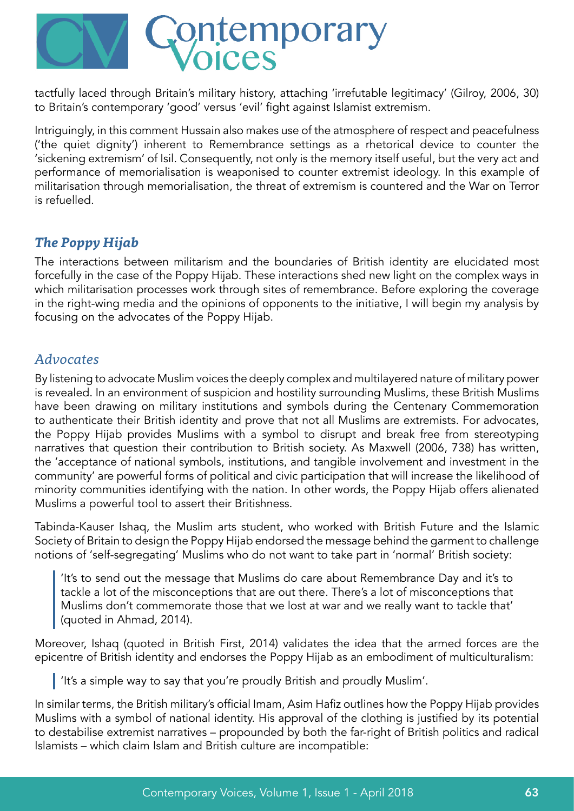

tactfully laced through Britain's military history, attaching 'irrefutable legitimacy' (Gilroy, 2006, 30) to Britain's contemporary 'good' versus 'evil' fight against Islamist extremism.

Intriguingly, in this comment Hussain also makes use of the atmosphere of respect and peacefulness ('the quiet dignity') inherent to Remembrance settings as a rhetorical device to counter the 'sickening extremism' of Isil. Consequently, not only is the memory itself useful, but the very act and performance of memorialisation is weaponised to counter extremist ideology. In this example of militarisation through memorialisation, the threat of extremism is countered and the War on Terror is refuelled.

### *The Poppy Hijab*

The interactions between militarism and the boundaries of British identity are elucidated most forcefully in the case of the Poppy Hijab. These interactions shed new light on the complex ways in which militarisation processes work through sites of remembrance. Before exploring the coverage in the right-wing media and the opinions of opponents to the initiative, I will begin my analysis by focusing on the advocates of the Poppy Hijab.

### *Advocates*

By listening to advocate Muslim voices the deeply complex and multilayered nature of military power is revealed. In an environment of suspicion and hostility surrounding Muslims, these British Muslims have been drawing on military institutions and symbols during the Centenary Commemoration to authenticate their British identity and prove that not all Muslims are extremists. For advocates, the Poppy Hijab provides Muslims with a symbol to disrupt and break free from stereotyping narratives that question their contribution to British society. As Maxwell (2006, 738) has written, the 'acceptance of national symbols, institutions, and tangible involvement and investment in the community' are powerful forms of political and civic participation that will increase the likelihood of minority communities identifying with the nation. In other words, the Poppy Hijab offers alienated Muslims a powerful tool to assert their Britishness.

Tabinda-Kauser Ishaq, the Muslim arts student, who worked with British Future and the Islamic Society of Britain to design the Poppy Hijab endorsed the message behind the garment to challenge notions of 'self-segregating' Muslims who do not want to take part in 'normal' British society:

'It's to send out the message that Muslims do care about Remembrance Day and it's to tackle a lot of the misconceptions that are out there. There's a lot of misconceptions that Muslims don't commemorate those that we lost at war and we really want to tackle that' (quoted in Ahmad, 2014).

Moreover, Ishaq (quoted in British First, 2014) validates the idea that the armed forces are the epicentre of British identity and endorses the Poppy Hijab as an embodiment of multiculturalism:

I 'It's a simple way to say that you're proudly British and proudly Muslim'.

In similar terms, the British military's official Imam, Asim Hafiz outlines how the Poppy Hijab provides Muslims with a symbol of national identity. His approval of the clothing is justified by its potential to destabilise extremist narratives – propounded by both the far-right of British politics and radical Islamists – which claim Islam and British culture are incompatible: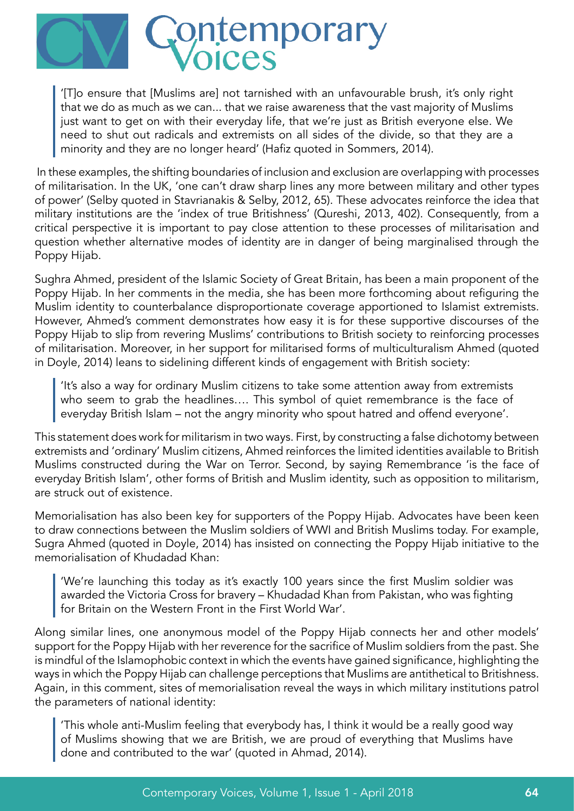

'[T]o ensure that [Muslims are] not tarnished with an unfavourable brush, it's only right that we do as much as we can... that we raise awareness that the vast majority of Muslims just want to get on with their everyday life, that we're just as British everyone else. We need to shut out radicals and extremists on all sides of the divide, so that they are a minority and they are no longer heard' (Hafiz quoted in Sommers, 2014).

 In these examples, the shifting boundaries of inclusion and exclusion are overlapping with processes of militarisation. In the UK, 'one can't draw sharp lines any more between military and other types of power' (Selby quoted in Stavrianakis & Selby, 2012, 65). These advocates reinforce the idea that military institutions are the 'index of true Britishness' (Qureshi, 2013, 402). Consequently, from a critical perspective it is important to pay close attention to these processes of militarisation and question whether alternative modes of identity are in danger of being marginalised through the Poppy Hijab.

Sughra Ahmed, president of the Islamic Society of Great Britain, has been a main proponent of the Poppy Hijab. In her comments in the media, she has been more forthcoming about refiguring the Muslim identity to counterbalance disproportionate coverage apportioned to Islamist extremists. However, Ahmed's comment demonstrates how easy it is for these supportive discourses of the Poppy Hijab to slip from revering Muslims' contributions to British society to reinforcing processes of militarisation. Moreover, in her support for militarised forms of multiculturalism Ahmed (quoted in Doyle, 2014) leans to sidelining different kinds of engagement with British society:

'It's also a way for ordinary Muslim citizens to take some attention away from extremists who seem to grab the headlines…. This symbol of quiet remembrance is the face of everyday British Islam – not the angry minority who spout hatred and offend everyone'.

This statement does work for militarism in two ways. First, by constructing a false dichotomy between extremists and 'ordinary' Muslim citizens, Ahmed reinforces the limited identities available to British Muslims constructed during the War on Terror. Second, by saying Remembrance 'is the face of everyday British Islam', other forms of British and Muslim identity, such as opposition to militarism, are struck out of existence.

Memorialisation has also been key for supporters of the Poppy Hijab. Advocates have been keen to draw connections between the Muslim soldiers of WWI and British Muslims today. For example, Sugra Ahmed (quoted in Doyle, 2014) has insisted on connecting the Poppy Hijab initiative to the memorialisation of Khudadad Khan:

'We're launching this today as it's exactly 100 years since the first Muslim soldier was awarded the Victoria Cross for bravery – Khudadad Khan from Pakistan, who was fighting for Britain on the Western Front in the First World War'.

Along similar lines, one anonymous model of the Poppy Hijab connects her and other models' support for the Poppy Hijab with her reverence for the sacrifice of Muslim soldiers from the past. She is mindful of the Islamophobic context in which the events have gained significance, highlighting the ways in which the Poppy Hijab can challenge perceptions that Muslims are antithetical to Britishness. Again, in this comment, sites of memorialisation reveal the ways in which military institutions patrol the parameters of national identity:

'This whole anti-Muslim feeling that everybody has, I think it would be a really good way of Muslims showing that we are British, we are proud of everything that Muslims have done and contributed to the war' (quoted in Ahmad, 2014).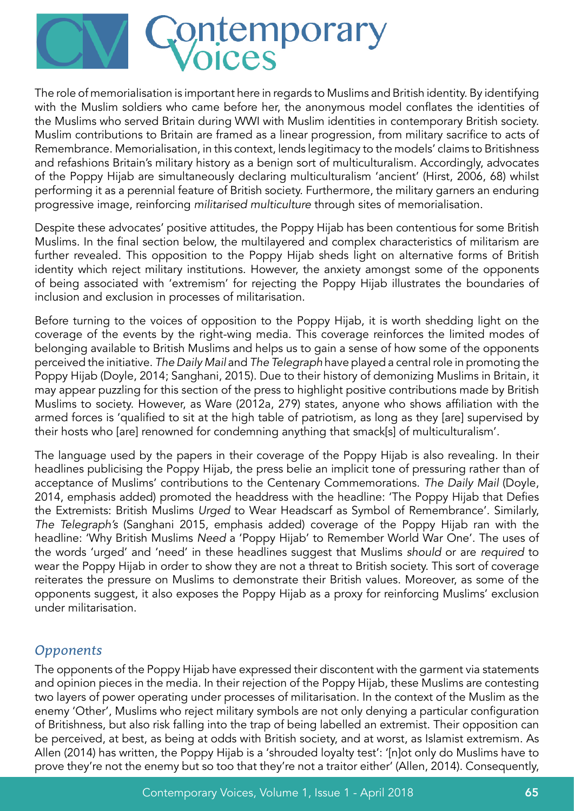

The role of memorialisation is important here in regards to Muslims and British identity. By identifying with the Muslim soldiers who came before her, the anonymous model conflates the identities of the Muslims who served Britain during WWI with Muslim identities in contemporary British society. Muslim contributions to Britain are framed as a linear progression, from military sacrifice to acts of Remembrance. Memorialisation, in this context, lends legitimacy to the models' claims to Britishness and refashions Britain's military history as a benign sort of multiculturalism. Accordingly, advocates of the Poppy Hijab are simultaneously declaring multiculturalism 'ancient' (Hirst, 2006, 68) whilst performing it as a perennial feature of British society. Furthermore, the military garners an enduring progressive image, reinforcing militarised multiculture through sites of memorialisation.

Despite these advocates' positive attitudes, the Poppy Hijab has been contentious for some British Muslims. In the final section below, the multilayered and complex characteristics of militarism are further revealed. This opposition to the Poppy Hijab sheds light on alternative forms of British identity which reject military institutions. However, the anxiety amongst some of the opponents of being associated with 'extremism' for rejecting the Poppy Hijab illustrates the boundaries of inclusion and exclusion in processes of militarisation.

Before turning to the voices of opposition to the Poppy Hijab, it is worth shedding light on the coverage of the events by the right-wing media. This coverage reinforces the limited modes of belonging available to British Muslims and helps us to gain a sense of how some of the opponents perceived the initiative. The Daily Mail and The Telegraph have played a central role in promoting the Poppy Hijab (Doyle, 2014; Sanghani, 2015). Due to their history of demonizing Muslims in Britain, it may appear puzzling for this section of the press to highlight positive contributions made by British Muslims to society. However, as Ware (2012a, 279) states, anyone who shows affiliation with the armed forces is 'qualified to sit at the high table of patriotism, as long as they [are] supervised by their hosts who [are] renowned for condemning anything that smack[s] of multiculturalism'.

The language used by the papers in their coverage of the Poppy Hijab is also revealing. In their headlines publicising the Poppy Hijab, the press belie an implicit tone of pressuring rather than of acceptance of Muslims' contributions to the Centenary Commemorations. The Daily Mail (Doyle, 2014, emphasis added) promoted the headdress with the headline: 'The Poppy Hijab that Defies the Extremists: British Muslims Urged to Wear Headscarf as Symbol of Remembrance'. Similarly, The Telegraph's (Sanghani 2015, emphasis added) coverage of the Poppy Hijab ran with the headline: 'Why British Muslims Need a 'Poppy Hijab' to Remember World War One'. The uses of the words 'urged' and 'need' in these headlines suggest that Muslims should or are required to wear the Poppy Hijab in order to show they are not a threat to British society. This sort of coverage reiterates the pressure on Muslims to demonstrate their British values. Moreover, as some of the opponents suggest, it also exposes the Poppy Hijab as a proxy for reinforcing Muslims' exclusion under militarisation.

### *Opponents*

The opponents of the Poppy Hijab have expressed their discontent with the garment via statements and opinion pieces in the media. In their rejection of the Poppy Hijab, these Muslims are contesting two layers of power operating under processes of militarisation. In the context of the Muslim as the enemy 'Other', Muslims who reject military symbols are not only denying a particular configuration of Britishness, but also risk falling into the trap of being labelled an extremist. Their opposition can be perceived, at best, as being at odds with British society, and at worst, as Islamist extremism. As Allen (2014) has written, the Poppy Hijab is a 'shrouded loyalty test': '[n]ot only do Muslims have to prove they're not the enemy but so too that they're not a traitor either' (Allen, 2014). Consequently,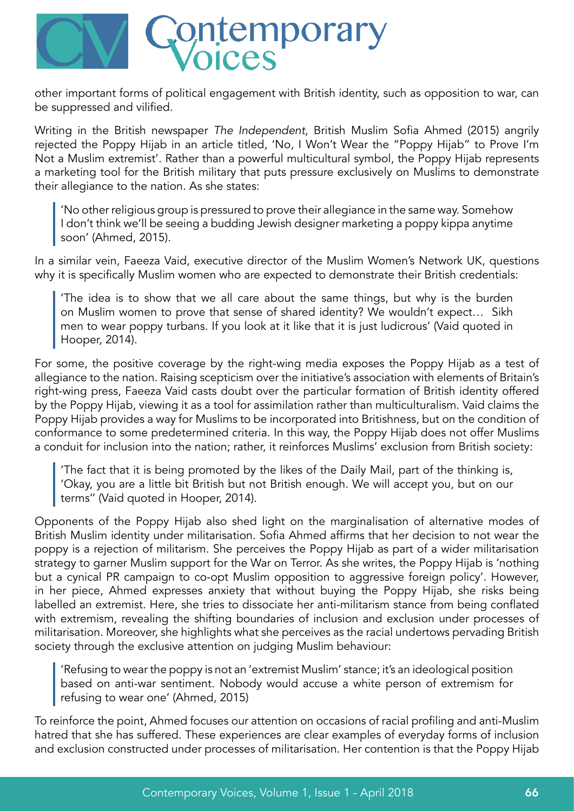

other important forms of political engagement with British identity, such as opposition to war, can be suppressed and vilified.

Writing in the British newspaper The Independent, British Muslim Sofia Ahmed (2015) angrily rejected the Poppy Hijab in an article titled, 'No, I Won't Wear the "Poppy Hijab" to Prove I'm Not a Muslim extremist'. Rather than a powerful multicultural symbol, the Poppy Hijab represents a marketing tool for the British military that puts pressure exclusively on Muslims to demonstrate their allegiance to the nation. As she states:

'No other religious group is pressured to prove their allegiance in the same way. Somehow I don't think we'll be seeing a budding Jewish designer marketing a poppy kippa anytime soon' (Ahmed, 2015).

In a similar vein, Faeeza Vaid, executive director of the Muslim Women's Network UK, questions why it is specifically Muslim women who are expected to demonstrate their British credentials:

'The idea is to show that we all care about the same things, but why is the burden on Muslim women to prove that sense of shared identity? We wouldn't expect… Sikh men to wear poppy turbans. If you look at it like that it is just ludicrous' (Vaid quoted in Hooper, 2014).

For some, the positive coverage by the right-wing media exposes the Poppy Hijab as a test of allegiance to the nation. Raising scepticism over the initiative's association with elements of Britain's right-wing press, Faeeza Vaid casts doubt over the particular formation of British identity offered by the Poppy Hijab, viewing it as a tool for assimilation rather than multiculturalism. Vaid claims the Poppy Hijab provides a way for Muslims to be incorporated into Britishness, but on the condition of conformance to some predetermined criteria. In this way, the Poppy Hijab does not offer Muslims a conduit for inclusion into the nation; rather, it reinforces Muslims' exclusion from British society:

'The fact that it is being promoted by the likes of the Daily Mail, part of the thinking is, 'Okay, you are a little bit British but not British enough. We will accept you, but on our terms'' (Vaid quoted in Hooper, 2014).

Opponents of the Poppy Hijab also shed light on the marginalisation of alternative modes of British Muslim identity under militarisation. Sofia Ahmed affirms that her decision to not wear the poppy is a rejection of militarism. She perceives the Poppy Hijab as part of a wider militarisation strategy to garner Muslim support for the War on Terror. As she writes, the Poppy Hijab is 'nothing but a cynical PR campaign to co-opt Muslim opposition to aggressive foreign policy'. However, in her piece, Ahmed expresses anxiety that without buying the Poppy Hijab, she risks being labelled an extremist. Here, she tries to dissociate her anti-militarism stance from being conflated with extremism, revealing the shifting boundaries of inclusion and exclusion under processes of militarisation. Moreover, she highlights what she perceives as the racial undertows pervading British society through the exclusive attention on judging Muslim behaviour:

'Refusing to wear the poppy is not an 'extremist Muslim' stance; it's an ideological position based on anti-war sentiment. Nobody would accuse a white person of extremism for refusing to wear one' (Ahmed, 2015)

To reinforce the point, Ahmed focuses our attention on occasions of racial profiling and anti-Muslim hatred that she has suffered. These experiences are clear examples of everyday forms of inclusion and exclusion constructed under processes of militarisation. Her contention is that the Poppy Hijab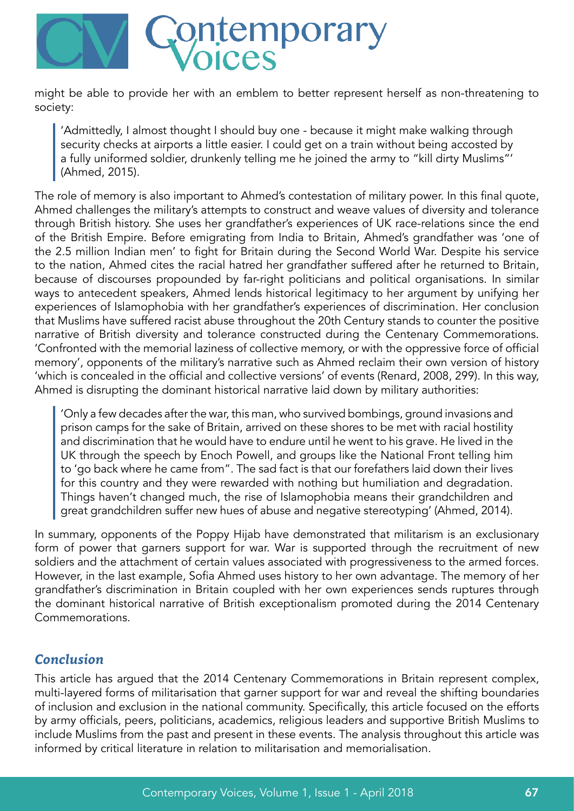

might be able to provide her with an emblem to better represent herself as non-threatening to society:

'Admittedly, I almost thought I should buy one - because it might make walking through security checks at airports a little easier. I could get on a train without being accosted by a fully uniformed soldier, drunkenly telling me he joined the army to "kill dirty Muslims"' (Ahmed, 2015).

The role of memory is also important to Ahmed's contestation of military power. In this final quote, Ahmed challenges the military's attempts to construct and weave values of diversity and tolerance through British history. She uses her grandfather's experiences of UK race-relations since the end of the British Empire. Before emigrating from India to Britain, Ahmed's grandfather was 'one of the 2.5 million Indian men' to fight for Britain during the Second World War. Despite his service to the nation, Ahmed cites the racial hatred her grandfather suffered after he returned to Britain, because of discourses propounded by far-right politicians and political organisations. In similar ways to antecedent speakers, Ahmed lends historical legitimacy to her argument by unifying her experiences of Islamophobia with her grandfather's experiences of discrimination. Her conclusion that Muslims have suffered racist abuse throughout the 20th Century stands to counter the positive narrative of British diversity and tolerance constructed during the Centenary Commemorations. 'Confronted with the memorial laziness of collective memory, or with the oppressive force of official memory', opponents of the military's narrative such as Ahmed reclaim their own version of history 'which is concealed in the official and collective versions' of events (Renard, 2008, 299). In this way, Ahmed is disrupting the dominant historical narrative laid down by military authorities:

'Only a few decades after the war, this man, who survived bombings, ground invasions and prison camps for the sake of Britain, arrived on these shores to be met with racial hostility and discrimination that he would have to endure until he went to his grave. He lived in the UK through the speech by Enoch Powell, and groups like the National Front telling him to 'go back where he came from". The sad fact is that our forefathers laid down their lives for this country and they were rewarded with nothing but humiliation and degradation. Things haven't changed much, the rise of Islamophobia means their grandchildren and great grandchildren suffer new hues of abuse and negative stereotyping' (Ahmed, 2014).

In summary, opponents of the Poppy Hijab have demonstrated that militarism is an exclusionary form of power that garners support for war. War is supported through the recruitment of new soldiers and the attachment of certain values associated with progressiveness to the armed forces. However, in the last example, Sofia Ahmed uses history to her own advantage. The memory of her grandfather's discrimination in Britain coupled with her own experiences sends ruptures through the dominant historical narrative of British exceptionalism promoted during the 2014 Centenary Commemorations.

# *Conclusion*

This article has argued that the 2014 Centenary Commemorations in Britain represent complex, multi-layered forms of militarisation that garner support for war and reveal the shifting boundaries of inclusion and exclusion in the national community. Specifically, this article focused on the efforts by army officials, peers, politicians, academics, religious leaders and supportive British Muslims to include Muslims from the past and present in these events. The analysis throughout this article was informed by critical literature in relation to militarisation and memorialisation.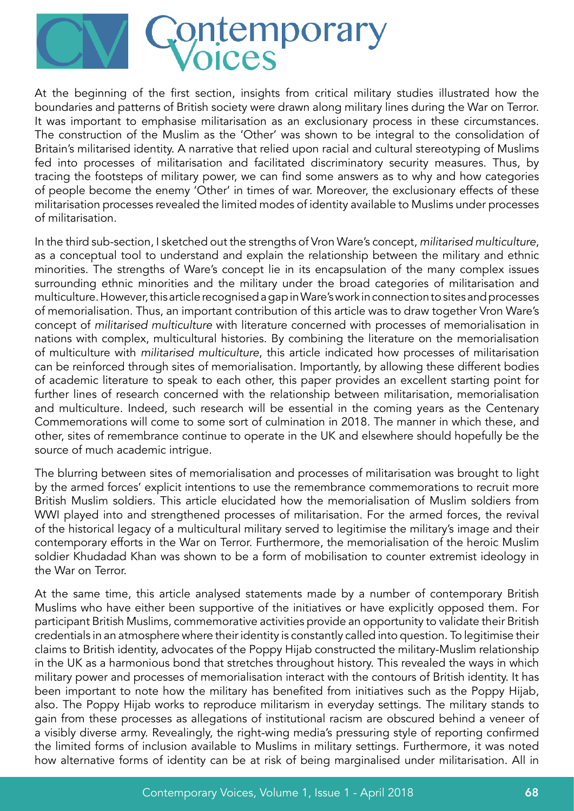

At the beginning of the first section, insights from critical military studies illustrated how the boundaries and patterns of British society were drawn along military lines during the War on Terror. It was important to emphasise militarisation as an exclusionary process in these circumstances. The construction of the Muslim as the 'Other' was shown to be integral to the consolidation of Britain's militarised identity. A narrative that relied upon racial and cultural stereotyping of Muslims fed into processes of militarisation and facilitated discriminatory security measures. Thus, by tracing the footsteps of military power, we can find some answers as to why and how categories of people become the enemy 'Other' in times of war. Moreover, the exclusionary effects of these militarisation processes revealed the limited modes of identity available to Muslims under processes of militarisation.

In the third sub-section, I sketched out the strengths of Vron Ware's concept, militarised multiculture, as a conceptual tool to understand and explain the relationship between the military and ethnic minorities. The strengths of Ware's concept lie in its encapsulation of the many complex issues surrounding ethnic minorities and the military under the broad categories of militarisation and multiculture. However, this article recognised a gap in Ware's work in connection to sites and processes of memorialisation. Thus, an important contribution of this article was to draw together Vron Ware's concept of militarised multiculture with literature concerned with processes of memorialisation in nations with complex, multicultural histories. By combining the literature on the memorialisation of multiculture with militarised multiculture, this article indicated how processes of militarisation can be reinforced through sites of memorialisation. Importantly, by allowing these different bodies of academic literature to speak to each other, this paper provides an excellent starting point for further lines of research concerned with the relationship between militarisation, memorialisation and multiculture. Indeed, such research will be essential in the coming years as the Centenary Commemorations will come to some sort of culmination in 2018. The manner in which these, and other, sites of remembrance continue to operate in the UK and elsewhere should hopefully be the source of much academic intrigue.

The blurring between sites of memorialisation and processes of militarisation was brought to light by the armed forces' explicit intentions to use the remembrance commemorations to recruit more British Muslim soldiers. This article elucidated how the memorialisation of Muslim soldiers from WWI played into and strengthened processes of militarisation. For the armed forces, the revival of the historical legacy of a multicultural military served to legitimise the military's image and their contemporary efforts in the War on Terror. Furthermore, the memorialisation of the heroic Muslim soldier Khudadad Khan was shown to be a form of mobilisation to counter extremist ideology in the War on Terror.

At the same time, this article analysed statements made by a number of contemporary British Muslims who have either been supportive of the initiatives or have explicitly opposed them. For participant British Muslims, commemorative activities provide an opportunity to validate their British credentials in an atmosphere where their identity is constantly called into question. To legitimise their claims to British identity, advocates of the Poppy Hijab constructed the military-Muslim relationship in the UK as a harmonious bond that stretches throughout history. This revealed the ways in which military power and processes of memorialisation interact with the contours of British identity. It has been important to note how the military has benefited from initiatives such as the Poppy Hijab, also. The Poppy Hijab works to reproduce militarism in everyday settings. The military stands to gain from these processes as allegations of institutional racism are obscured behind a veneer of a visibly diverse army. Revealingly, the right-wing media's pressuring style of reporting confirmed the limited forms of inclusion available to Muslims in military settings. Furthermore, it was noted how alternative forms of identity can be at risk of being marginalised under militarisation. All in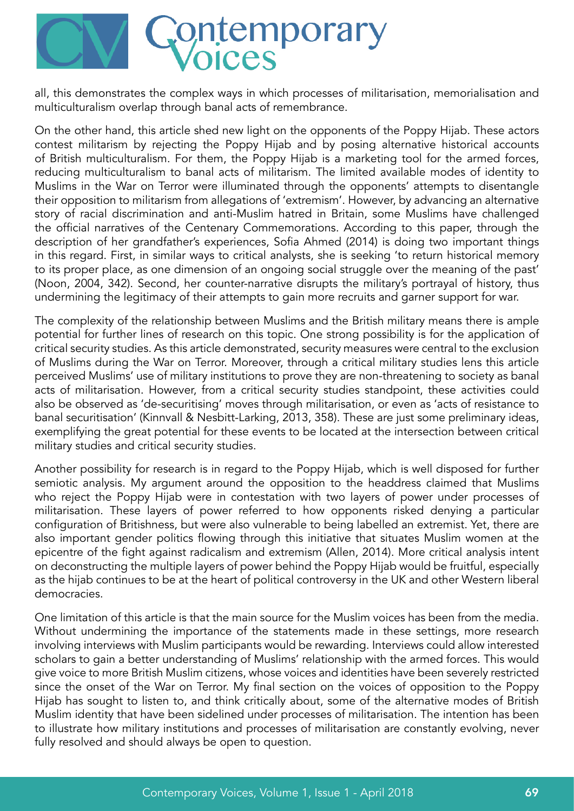

all, this demonstrates the complex ways in which processes of militarisation, memorialisation and multiculturalism overlap through banal acts of remembrance.

On the other hand, this article shed new light on the opponents of the Poppy Hijab. These actors contest militarism by rejecting the Poppy Hijab and by posing alternative historical accounts of British multiculturalism. For them, the Poppy Hijab is a marketing tool for the armed forces, reducing multiculturalism to banal acts of militarism. The limited available modes of identity to Muslims in the War on Terror were illuminated through the opponents' attempts to disentangle their opposition to militarism from allegations of 'extremism'. However, by advancing an alternative story of racial discrimination and anti-Muslim hatred in Britain, some Muslims have challenged the official narratives of the Centenary Commemorations. According to this paper, through the description of her grandfather's experiences, Sofia Ahmed (2014) is doing two important things in this regard. First, in similar ways to critical analysts, she is seeking 'to return historical memory to its proper place, as one dimension of an ongoing social struggle over the meaning of the past' (Noon, 2004, 342). Second, her counter-narrative disrupts the military's portrayal of history, thus undermining the legitimacy of their attempts to gain more recruits and garner support for war.

The complexity of the relationship between Muslims and the British military means there is ample potential for further lines of research on this topic. One strong possibility is for the application of critical security studies. As this article demonstrated, security measures were central to the exclusion of Muslims during the War on Terror. Moreover, through a critical military studies lens this article perceived Muslims' use of military institutions to prove they are non-threatening to society as banal acts of militarisation. However, from a critical security studies standpoint, these activities could also be observed as 'de-securitising' moves through militarisation, or even as 'acts of resistance to banal securitisation' (Kinnvall & Nesbitt-Larking, 2013, 358). These are just some preliminary ideas, exemplifying the great potential for these events to be located at the intersection between critical military studies and critical security studies.

Another possibility for research is in regard to the Poppy Hijab, which is well disposed for further semiotic analysis. My argument around the opposition to the headdress claimed that Muslims who reject the Poppy Hijab were in contestation with two layers of power under processes of militarisation. These layers of power referred to how opponents risked denying a particular configuration of Britishness, but were also vulnerable to being labelled an extremist. Yet, there are also important gender politics flowing through this initiative that situates Muslim women at the epicentre of the fight against radicalism and extremism (Allen, 2014). More critical analysis intent on deconstructing the multiple layers of power behind the Poppy Hijab would be fruitful, especially as the hijab continues to be at the heart of political controversy in the UK and other Western liberal democracies.

One limitation of this article is that the main source for the Muslim voices has been from the media. Without undermining the importance of the statements made in these settings, more research involving interviews with Muslim participants would be rewarding. Interviews could allow interested scholars to gain a better understanding of Muslims' relationship with the armed forces. This would give voice to more British Muslim citizens, whose voices and identities have been severely restricted since the onset of the War on Terror. My final section on the voices of opposition to the Poppy Hijab has sought to listen to, and think critically about, some of the alternative modes of British Muslim identity that have been sidelined under processes of militarisation. The intention has been to illustrate how military institutions and processes of militarisation are constantly evolving, never fully resolved and should always be open to question.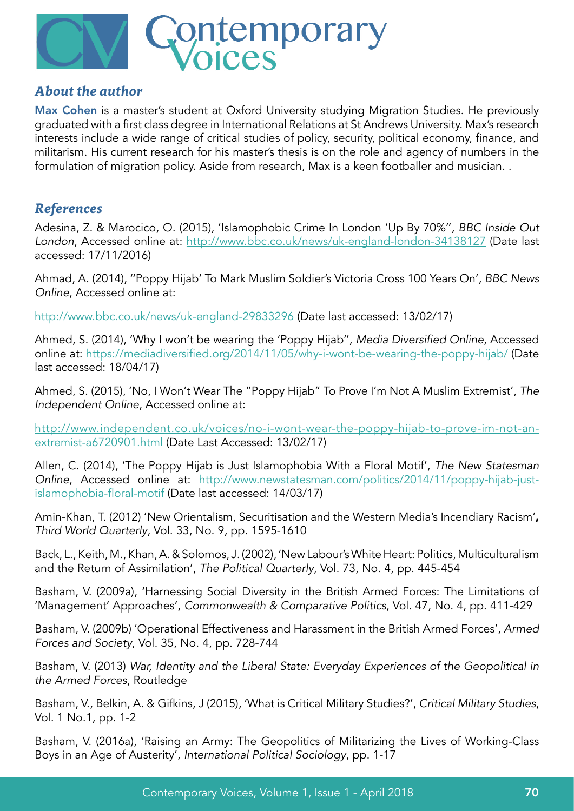

#### *About the author*

Max Cohen is a master's student at Oxford University studying Migration Studies. He previously graduated with a first class degree in International Relations at St Andrews University. Max's research interests include a wide range of critical studies of policy, security, political economy, finance, and militarism. His current research for his master's thesis is on the role and agency of numbers in the formulation of migration policy. Aside from research, Max is a keen footballer and musician. .

### *References*

Adesina, Z. & Marocico, O. (2015), 'Islamophobic Crime In London 'Up By 70%'', BBC Inside Out London, Accessed online at: <http://www.bbc.co.uk/news/uk-england-london-34138127> (Date last accessed: 17/11/2016)

Ahmad, A. (2014), ''Poppy Hijab' To Mark Muslim Soldier's Victoria Cross 100 Years On', BBC News Online, Accessed online at:

<http://www.bbc.co.uk/news/uk-england-29833296> (Date last accessed: 13/02/17)

Ahmed, S. (2014), 'Why I won't be wearing the 'Poppy Hijab'', Media Diversified Online, Accessed online at: <https://mediadiversified.org/2014/11/05/why-i-wont-be-wearing-the-poppy-hijab/> (Date last accessed: 18/04/17)

Ahmed, S. (2015), 'No, I Won't Wear The "Poppy Hijab" To Prove I'm Not A Muslim Extremist', The Independent Online, Accessed online at:

[http://www.independent.co.uk/voices/no-i-wont-wear-the-poppy-hijab-to-prove-im-not-an](http://www.independent.co.uk/voices/no-i-wont-wear-the-poppy-hijab-to-prove-im-not-an-extremist-a6720901.html)[extremist-a6720901.html](http://www.independent.co.uk/voices/no-i-wont-wear-the-poppy-hijab-to-prove-im-not-an-extremist-a6720901.html) (Date Last Accessed: 13/02/17)

Allen, C. (2014), 'The Poppy Hijab is Just Islamophobia With a Floral Motif', The New Statesman Online, Accessed online at: [http://www.newstatesman.com/politics/2014/11/poppy-hijab-just](http://www.newstatesman.com/politics/2014/11/poppy-hijab-just-islamophobia-floral-motif)[islamophobia-floral-motif](http://www.newstatesman.com/politics/2014/11/poppy-hijab-just-islamophobia-floral-motif) (Date last accessed: 14/03/17)

Amin-Khan, T. (2012) 'New Orientalism, Securitisation and the Western Media's Incendiary Racism', Third World Quarterly, Vol. 33, No. 9, pp. 1595-1610

Back, L., Keith, M., Khan, A. & Solomos, J. (2002), 'New Labour's White Heart: Politics, Multiculturalism and the Return of Assimilation', The Political Quarterly, Vol. 73, No. 4, pp. 445-454

Basham, V. (2009a), 'Harnessing Social Diversity in the British Armed Forces: The Limitations of 'Management' Approaches', Commonwealth & Comparative Politics, Vol. 47, No. 4, pp. 411-429

Basham, V. (2009b) 'Operational Effectiveness and Harassment in the British Armed Forces', Armed Forces and Society, Vol. 35, No. 4, pp. 728-744

Basham, V. (2013) War, Identity and the Liberal State: Everyday Experiences of the Geopolitical in the Armed Forces, Routledge

Basham, V., Belkin, A. & Gifkins, J (2015), 'What is Critical Military Studies?', Critical Military Studies, Vol. 1 No.1, pp. 1-2

Basham, V. (2016a), 'Raising an Army: The Geopolitics of Militarizing the Lives of Working-Class Boys in an Age of Austerity', International Political Sociology, pp. 1-17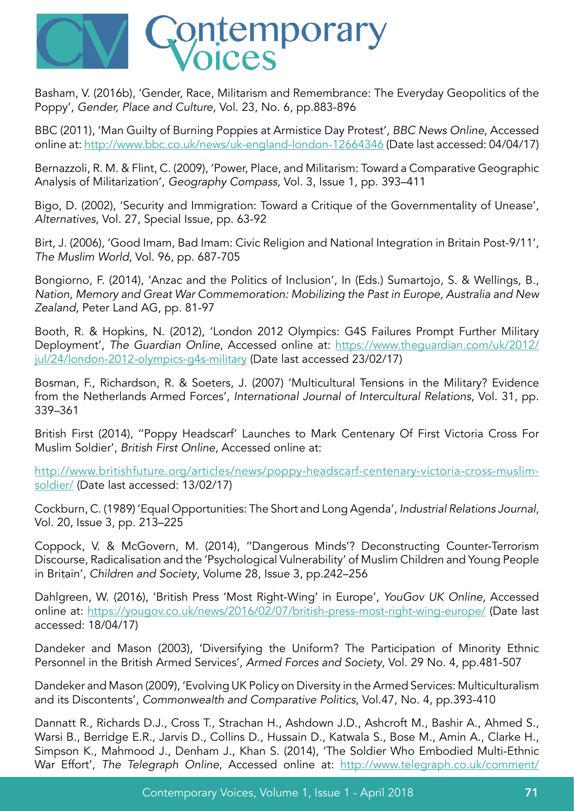

Basham, V. (2016b), 'Gender, Race, Militarism and Remembrance: The Everyday Geopolitics of the Poppy', Gender, Place and Culture, Vol. 23, No. 6, pp.883-896

BBC (2011), 'Man Guilty of Burning Poppies at Armistice Day Protest', BBC News Online, Accessed online at: <http://www.bbc.co.uk/news/uk-england-london-12664346> (Date last accessed: 04/04/17)

Bernazzoli, R. M. & Flint, C. (2009), 'Power, Place, and Militarism: Toward a Comparative Geographic Analysis of Militarization', Geography Compass, Vol. 3, Issue 1, pp. 393–411

Bigo, D. (2002), 'Security and Immigration: Toward a Critique of the Governmentality of Unease', Alternatives, Vol. 27, Special Issue, pp. 63-92

Birt, J. (2006), 'Good Imam, Bad Imam: Civic Religion and National Integration in Britain Post-9/11', The Muslim World, Vol. 96, pp. 687-705

Bongiorno, F. (2014), 'Anzac and the Politics of Inclusion', In (Eds.) Sumartojo, S. & Wellings, B., Nation, Memory and Great War Commemoration: Mobilizing the Past in Europe, Australia and New Zealand, Peter Land AG, pp. 81-97

Booth, R. & Hopkins, N. (2012), 'London 2012 Olympics: G4S Failures Prompt Further Military Deployment', The Guardian Online, Accessed online at: [https://www.theguardian.com/uk/2012/](https://www.theguardian.com/uk/2012/jul/24/london-2012-olympics-g4s-military) jul/24/london-2012-olympics-q4s-military (Date last accessed 23/02/17)

Bosman, F., Richardson, R. & Soeters, J. (2007) 'Multicultural Tensions in the Military? Evidence from the Netherlands Armed Forces', International Journal of Intercultural Relations, Vol. 31, pp. 339–361

British First (2014), ''Poppy Headscarf' Launches to Mark Centenary Of First Victoria Cross For Muslim Soldier', British First Online, Accessed online at:

[http://www.britishfuture.org/articles/news/poppy-headscarf-centenary-victoria-cross-muslim](http://www.britishfuture.org/articles/news/poppy-headscarf-centenary-victoria-cross-muslim-soldier/)[soldier/](http://www.britishfuture.org/articles/news/poppy-headscarf-centenary-victoria-cross-muslim-soldier/) (Date last accessed: 13/02/17)

Cockburn, C. (1989) 'Equal Opportunities: The Short and Long Agenda', Industrial Relations Journal, Vol. 20, Issue 3, pp. 213–225

Coppock, V. & McGovern, M. (2014), ''Dangerous Minds'? Deconstructing Counter-Terrorism Discourse, Radicalisation and the 'Psychological Vulnerability' of Muslim Children and Young People in Britain', Children and Society, Volume 28, Issue 3, pp.242–256

Dahlgreen, W. (2016), 'British Press 'Most Right-Wing' in Europe', YouGov UK Online, Accessed online at: <https://yougov.co.uk/news/2016/02/07/british-press-most-right-wing-europe/> (Date last accessed: 18/04/17)

Dandeker and Mason (2003), 'Diversifying the Uniform? The Participation of Minority Ethnic Personnel in the British Armed Services', Armed Forces and Society, Vol. 29 No. 4, pp.481-507

Dandeker and Mason (2009), 'Evolving UK Policy on Diversity in the Armed Services: Multiculturalism and its Discontents', Commonwealth and Comparative Politics, Vol.47, No. 4, pp.393-410

Dannatt R., Richards D.J., Cross T., Strachan H., Ashdown J.D., Ashcroft M., Bashir A., Ahmed S., Warsi B., Berridge E.R., Jarvis D., Collins D., Hussain D., Katwala S., Bose M., Amin A., Clarke H., Simpson K., Mahmood J., Denham J., Khan S. (2014), 'The Soldier Who Embodied Multi-Ethnic War Effort', The Telegraph Online, Accessed online at: [http://www.telegraph.co.uk/comment/](http://www.telegraph.co.uk/comment/letters/11198406/The-soldier-who-embodied-multi-ethnic-war-effort.html)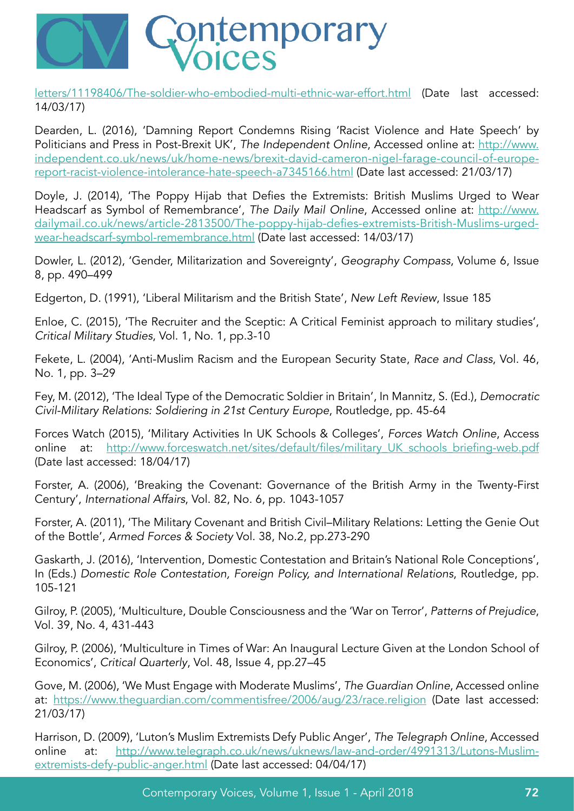

[letters/11198406/The-soldier-who-embodied-multi-ethnic-war-effort.html](http://www.telegraph.co.uk/comment/letters/11198406/The-soldier-who-embodied-multi-ethnic-war-effort.html) (Date last accessed: 14/03/17)

Dearden, L. (2016), 'Damning Report Condemns Rising 'Racist Violence and Hate Speech' by Politicians and Press in Post-Brexit UK', The Independent Online, Accessed online at: [http://www.](http://www.independent.co.uk/news/uk/home-news/brexit-david-cameron-nigel-farage-council-of-europe-report-racist-violence-intolerance-hate-speech-a7345166.html) [independent.co.uk/news/uk/home-news/brexit-david-cameron-nigel-farage-council-of-europe](http://www.independent.co.uk/news/uk/home-news/brexit-david-cameron-nigel-farage-council-of-europe-report-racist-violence-intolerance-hate-speech-a7345166.html)[report-racist-violence-intolerance-hate-speech-a7345166.html](http://www.independent.co.uk/news/uk/home-news/brexit-david-cameron-nigel-farage-council-of-europe-report-racist-violence-intolerance-hate-speech-a7345166.html) (Date last accessed: 21/03/17)

Doyle, J. (2014), 'The Poppy Hijab that Defies the Extremists: British Muslims Urged to Wear Headscarf as Symbol of Remembrance', The Daily Mail Online, Accessed online at: [http://www.](http://www.dailymail.co.uk/news/article-2813500/The-poppy-hijab-defies-extremists-British-Muslims-urged-wear-headscarf-symbol-remembrance.html) [dailymail.co.uk/news/article-2813500/The-poppy-hijab-defies-extremists-British-Muslims-urged](http://www.dailymail.co.uk/news/article-2813500/The-poppy-hijab-defies-extremists-British-Muslims-urged-wear-headscarf-symbol-remembrance.html)[wear-headscarf-symbol-remembrance.html](http://www.dailymail.co.uk/news/article-2813500/The-poppy-hijab-defies-extremists-British-Muslims-urged-wear-headscarf-symbol-remembrance.html) (Date last accessed: 14/03/17)

Dowler, L. (2012), 'Gender, Militarization and Sovereignty', Geography Compass, Volume 6, Issue 8, pp. 490–499

Edgerton, D. (1991), 'Liberal Militarism and the British State', New Left Review, Issue 185

Enloe, C. (2015), 'The Recruiter and the Sceptic: A Critical Feminist approach to military studies', Critical Military Studies, Vol. 1, No. 1, pp.3-10

Fekete, L. (2004), 'Anti-Muslim Racism and the European Security State, Race and Class, Vol. 46, No. 1, pp. 3–29

Fey, M. (2012), 'The Ideal Type of the Democratic Soldier in Britain', In Mannitz, S. (Ed.), Democratic Civil-Military Relations: Soldiering in 21st Century Europe, Routledge, pp. 45-64

Forces Watch (2015), 'Military Activities In UK Schools & Colleges', Forces Watch Online, Access online at: http://www.forceswatch.net/sites/default/files/military UK schools briefing-web.pdf (Date last accessed: 18/04/17)

Forster, A. (2006), 'Breaking the Covenant: Governance of the British Army in the Twenty-First Century', International Affairs, Vol. 82, No. 6, pp. 1043-1057

Forster, A. (2011), 'The Military Covenant and British Civil–Military Relations: Letting the Genie Out of the Bottle', Armed Forces & Society Vol. 38, No.2, pp.273-290

Gaskarth, J. (2016), 'Intervention, Domestic Contestation and Britain's National Role Conceptions', In (Eds.) Domestic Role Contestation, Foreign Policy, and International Relations, Routledge, pp. 105-121

Gilroy, P. (2005), 'Multiculture, Double Consciousness and the 'War on Terror', Patterns of Prejudice, Vol. 39, No. 4, 431-443

Gilroy, P. (2006), 'Multiculture in Times of War: An Inaugural Lecture Given at the London School of Economics', Critical Quarterly, Vol. 48, Issue 4, pp.27–45

Gove, M. (2006), 'We Must Engage with Moderate Muslims', The Guardian Online, Accessed online at: <https://www.theguardian.com/commentisfree/2006/aug/23/race.religion> (Date last accessed: 21/03/17)

Harrison, D. (2009), 'Luton's Muslim Extremists Defy Public Anger', The Telegraph Online, Accessed online at: [http://www.telegraph.co.uk/news/uknews/law-and-order/4991313/Lutons-Muslim](http://www.telegraph.co.uk/news/uknews/law-and-order/4991313/Lutons-Muslim-extremists-defy-public-anger.html)[extremists-defy-public-anger.html](http://www.telegraph.co.uk/news/uknews/law-and-order/4991313/Lutons-Muslim-extremists-defy-public-anger.html) (Date last accessed: 04/04/17)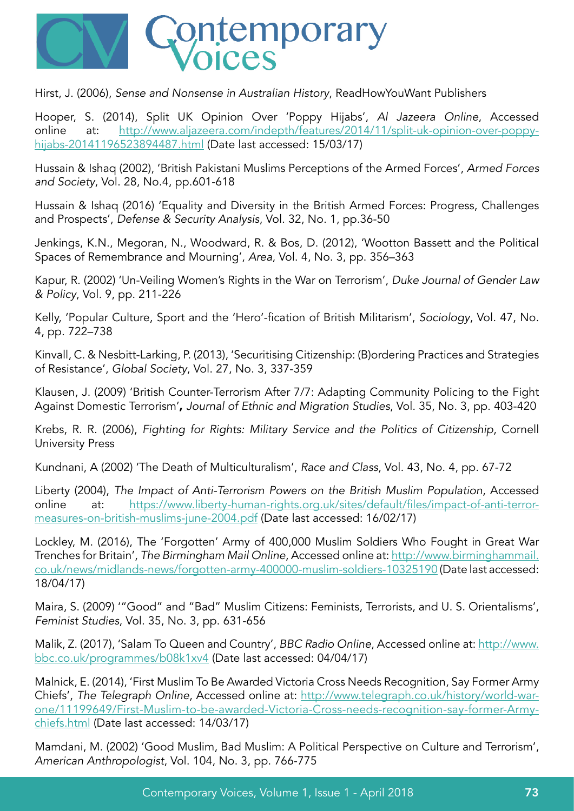

Hirst, J. (2006), Sense and Nonsense in Australian History, ReadHowYouWant Publishers

Hooper, S. (2014), Split UK Opinion Over 'Poppy Hijabs', Al Jazeera Online, Accessed online at: [http://www.aljazeera.com/indepth/features/2014/11/split-uk-opinion-over-poppy](http://www.aljazeera.com/indepth/features/2014/11/split-uk-opinion-over-poppy-hijabs-20141196523894487.html)[hijabs-20141196523894487.html](http://www.aljazeera.com/indepth/features/2014/11/split-uk-opinion-over-poppy-hijabs-20141196523894487.html) (Date last accessed: 15/03/17)

Hussain & Ishaq (2002), 'British Pakistani Muslims Perceptions of the Armed Forces', Armed Forces and Society, Vol. 28, No.4, pp.601-618

Hussain & Ishaq (2016) 'Equality and Diversity in the British Armed Forces: Progress, Challenges and Prospects', Defense & Security Analysis, Vol. 32, No. 1, pp.36-50

Jenkings, K.N., Megoran, N., Woodward, R. & Bos, D. (2012), 'Wootton Bassett and the Political Spaces of Remembrance and Mourning', Area, Vol. 4, No. 3, pp. 356–363

Kapur, R. (2002) 'Un-Veiling Women's Rights in the War on Terrorism', Duke Journal of Gender Law & Policy, Vol. 9, pp. 211-226

Kelly, 'Popular Culture, Sport and the 'Hero'-fication of British Militarism', Sociology, Vol. 47, No. 4, pp. 722–738

Kinvall, C. & Nesbitt-Larking, P. (2013), 'Securitising Citizenship: (B)ordering Practices and Strategies of Resistance', Global Society, Vol. 27, No. 3, 337-359

Klausen, J. (2009) 'British Counter-Terrorism After 7/7: Adapting Community Policing to the Fight Against Domestic Terrorism', Journal of Ethnic and Migration Studies, Vol. 35, No. 3, pp. 403-420

Krebs, R. R. (2006), Fighting for Rights: Military Service and the Politics of Citizenship, Cornell University Press

Kundnani, A (2002) 'The Death of Multiculturalism', Race and Class, Vol. 43, No. 4, pp. 67-72

Liberty (2004), The Impact of Anti-Terrorism Powers on the British Muslim Population, Accessed online at: [https://www.liberty-human-rights.org.uk/sites/default/files/impact-of-anti-terror](https://www.liberty-human-rights.org.uk/sites/default/files/impact-of-anti-terror-measures-on-british-muslims-june-2004.pdf)[measures-on-british-muslims-june-2004.pdf](https://www.liberty-human-rights.org.uk/sites/default/files/impact-of-anti-terror-measures-on-british-muslims-june-2004.pdf) (Date last accessed: 16/02/17)

Lockley, M. (2016), The 'Forgotten' Army of 400,000 Muslim Soldiers Who Fought in Great War Trenches for Britain', The Birmingham Mail Online, Accessed online at: [http://www.birminghammail.](http://www.birminghammail.co.uk/news/midlands-news/forgotten-army-400000-muslim-soldiers-10325190) [co.uk/news/midlands-news/forgotten-army-400000-muslim-soldiers-10325190](http://www.birminghammail.co.uk/news/midlands-news/forgotten-army-400000-muslim-soldiers-10325190) (Date last accessed: 18/04/17)

Maira, S. (2009) '"Good" and "Bad" Muslim Citizens: Feminists, Terrorists, and U. S. Orientalisms', Feminist Studies, Vol. 35, No. 3, pp. 631-656

Malik, Z. (2017), 'Salam To Queen and Country', BBC Radio Online, Accessed online at: [http://www.](http://www.bbc.co.uk/programmes/b08k1xv4) [bbc.co.uk/programmes/b08k1xv4](http://www.bbc.co.uk/programmes/b08k1xv4) (Date last accessed: 04/04/17)

Malnick, E. (2014), 'First Muslim To Be Awarded Victoria Cross Needs Recognition, Say Former Army Chiefs', The Telegraph Online, Accessed online at: [http://www.telegraph.co.uk/history/world-war](http://www.telegraph.co.uk/history/world-war-one/11199649/First-Muslim-to-be-awarded-Victoria-Cross-needs-recognition-say-former-Army-chiefs.html)[one/11199649/First-Muslim-to-be-awarded-Victoria-Cross-needs-recognition-say-former-Army](http://www.telegraph.co.uk/history/world-war-one/11199649/First-Muslim-to-be-awarded-Victoria-Cross-needs-recognition-say-former-Army-chiefs.html)[chiefs.html](http://www.telegraph.co.uk/history/world-war-one/11199649/First-Muslim-to-be-awarded-Victoria-Cross-needs-recognition-say-former-Army-chiefs.html) (Date last accessed: 14/03/17)

Mamdani, M. (2002) 'Good Muslim, Bad Muslim: A Political Perspective on Culture and Terrorism', American Anthropologist, Vol. 104, No. 3, pp. 766-775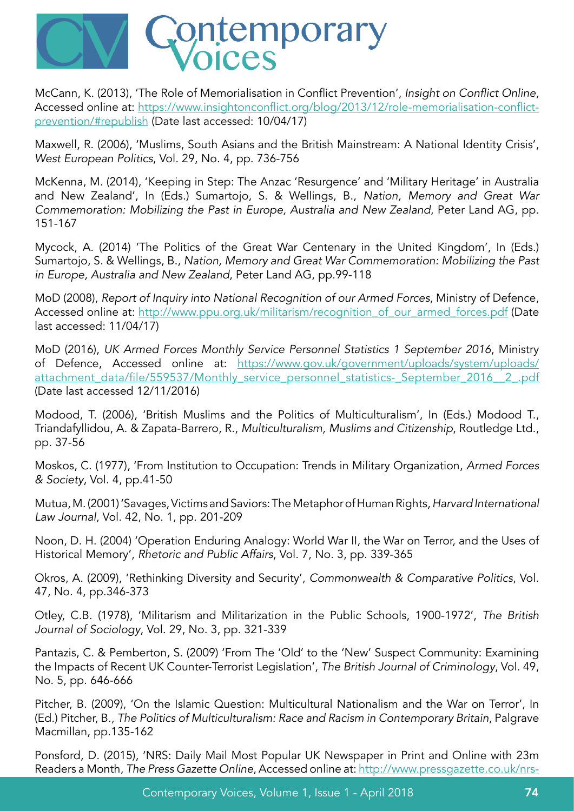

McCann, K. (2013), 'The Role of Memorialisation in Conflict Prevention', Insight on Conflict Online, Accessed online at: https://www.insightonconflict.org/blog/2013/12/role-memorialisation-conflictprevention/#republish (Date last accessed: 10/04/17)

Maxwell, R. (2006), 'Muslims, South Asians and the British Mainstream: A National Identity Crisis', West European Politics, Vol. 29, No. 4, pp. 736-756

McKenna, M. (2014), 'Keeping in Step: The Anzac 'Resurgence' and 'Military Heritage' in Australia and New Zealand', In (Eds.) Sumartojo, S. & Wellings, B., Nation, Memory and Great War Commemoration: Mobilizing the Past in Europe, Australia and New Zealand, Peter Land AG, pp. 151-167

Mycock, A. (2014) 'The Politics of the Great War Centenary in the United Kingdom', In (Eds.) Sumartojo, S. & Wellings, B., Nation, Memory and Great War Commemoration: Mobilizing the Past in Europe, Australia and New Zealand, Peter Land AG, pp.99-118

MoD (2008), Report of Inquiry into National Recognition of our Armed Forces, Ministry of Defence, Accessed online at: [http://www.ppu.org.uk/militarism/recognition\\_of\\_our\\_armed\\_forces.pdf](http://www.ppu.org.uk/militarism/recognition_of_our_armed_forces.pdf) (Date last accessed: 11/04/17)

MoD (2016), UK Armed Forces Monthly Service Personnel Statistics 1 September 2016, Ministry of Defence, Accessed online at: [https://www.gov.uk/government/uploads/system/uploads/](https://www.gov.uk/government/uploads/system/uploads/attachment_data/file/559537/Monthly_service_personnel_statistics-_September_2016__2_.pdf) [attachment\\_data/file/559537/Monthly\\_service\\_personnel\\_statistics-\\_September\\_2016\\_\\_2\\_.pdf](https://www.gov.uk/government/uploads/system/uploads/attachment_data/file/559537/Monthly_service_personnel_statistics-_September_2016__2_.pdf) (Date last accessed 12/11/2016)

Modood, T. (2006), 'British Muslims and the Politics of Multiculturalism', In (Eds.) Modood T., Triandafyllidou, A. & Zapata-Barrero, R., Multiculturalism, Muslims and Citizenship, Routledge Ltd., pp. 37-56

Moskos, C. (1977), 'From Institution to Occupation: Trends in Military Organization, Armed Forces & Society, Vol. 4, pp.41-50

Mutua, M. (2001) 'Savages, Victims and Saviors: The Metaphor of Human Rights, Harvard International Law Journal, Vol. 42, No. 1, pp. 201-209

Noon, D. H. (2004) 'Operation Enduring Analogy: World War II, the War on Terror, and the Uses of Historical Memory', Rhetoric and Public Affairs, Vol. 7, No. 3, pp. 339-365

Okros, A. (2009), 'Rethinking Diversity and Security', Commonwealth & Comparative Politics, Vol. 47, No. 4, pp.346-373

Otley, C.B. (1978), 'Militarism and Militarization in the Public Schools, 1900-1972', The British Journal of Sociology, Vol. 29, No. 3, pp. 321-339

Pantazis, C. & Pemberton, S. (2009) 'From The 'Old' to the 'New' Suspect Community: Examining the Impacts of Recent UK Counter-Terrorist Legislation', The British Journal of Criminology, Vol. 49, No. 5, pp. 646-666

Pitcher, B. (2009), 'On the Islamic Question: Multicultural Nationalism and the War on Terror', In (Ed.) Pitcher, B., The Politics of Multiculturalism: Race and Racism in Contemporary Britain, Palgrave Macmillan, pp.135-162

Ponsford, D. (2015), 'NRS: Daily Mail Most Popular UK Newspaper in Print and Online with 23m Readers a Month, The Press Gazette Online, Accessed online at: [http://www.pressgazette.co.uk/nrs-](http://www.pressgazette.co.uk/nrs-daily-mail-most-popular-uk-newspaper-print-and-online-23m-readers-month/)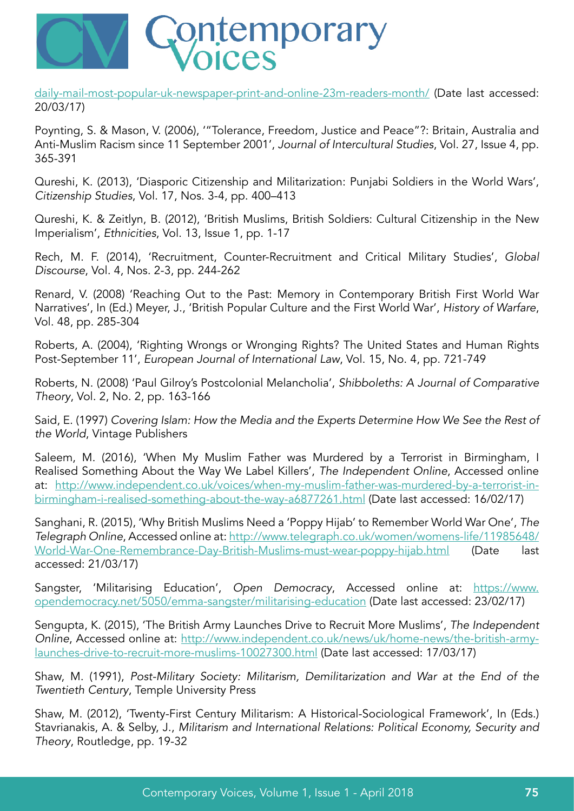

[daily-mail-most-popular-uk-newspaper-print-and-online-23m-readers-month/](http://www.pressgazette.co.uk/nrs-daily-mail-most-popular-uk-newspaper-print-and-online-23m-readers-month/) (Date last accessed: 20/03/17)

Poynting, S. & Mason, V. (2006), '"Tolerance, Freedom, Justice and Peace"?: Britain, Australia and Anti-Muslim Racism since 11 September 2001', Journal of Intercultural Studies, Vol. 27, Issue 4, pp. 365-391

Qureshi, K. (2013), 'Diasporic Citizenship and Militarization: Punjabi Soldiers in the World Wars', Citizenship Studies, Vol. 17, Nos. 3-4, pp. 400–413

Qureshi, K. & Zeitlyn, B. (2012), 'British Muslims, British Soldiers: Cultural Citizenship in the New Imperialism', Ethnicities, Vol. 13, Issue 1, pp. 1-17

Rech, M. F. (2014), 'Recruitment, Counter-Recruitment and Critical Military Studies', Global Discourse, Vol. 4, Nos. 2-3, pp. 244-262

Renard, V. (2008) 'Reaching Out to the Past: Memory in Contemporary British First World War Narratives', In (Ed.) Meyer, J., 'British Popular Culture and the First World War', History of Warfare, Vol. 48, pp. 285-304

Roberts, A. (2004), 'Righting Wrongs or Wronging Rights? The United States and Human Rights Post-September 11', European Journal of International Law, Vol. 15, No. 4, pp. 721-749

Roberts, N. (2008) 'Paul Gilroy's Postcolonial Melancholia', Shibboleths: A Journal of Comparative Theory, Vol. 2, No. 2, pp. 163-166

Said, E. (1997) Covering Islam: How the Media and the Experts Determine How We See the Rest of the World, Vintage Publishers

Saleem, M. (2016), 'When My Muslim Father was Murdered by a Terrorist in Birmingham, I Realised Something About the Way We Label Killers', The Independent Online, Accessed online at: [http://www.independent.co.uk/voices/when-my-muslim-father-was-murdered-by-a-terrorist-in](http://www.independent.co.uk/voices/when-my-muslim-father-was-murdered-by-a-terrorist-in-birmingham-i-realised-something-about-the-way-a6877261.html)[birmingham-i-realised-something-about-the-way-a6877261.html](http://www.independent.co.uk/voices/when-my-muslim-father-was-murdered-by-a-terrorist-in-birmingham-i-realised-something-about-the-way-a6877261.html) (Date last accessed: 16/02/17)

Sanghani, R. (2015), 'Why British Muslims Need a 'Poppy Hijab' to Remember World War One', The Telegraph Online, Accessed online at: [http://www.telegraph.co.uk/women/womens-life/11985648/](http://www.telegraph.co.uk/women/womens-life/11985648/World-War-One-Remembrance-Day-British-Muslims-must-wear-poppy-hijab.html) [World-War-One-Remembrance-Day-British-Muslims-must-wear-poppy-hijab.html](http://www.telegraph.co.uk/women/womens-life/11985648/World-War-One-Remembrance-Day-British-Muslims-must-wear-poppy-hijab.html) (Date last accessed: 21/03/17)

Sangster, 'Militarising Education', Open Democracy, Accessed online at: [https://www.](https://www.opendemocracy.net/5050/emma-sangster/militarising-education) [opendemocracy.net/5050/emma-sangster/militarising-education](https://www.opendemocracy.net/5050/emma-sangster/militarising-education) (Date last accessed: 23/02/17)

Sengupta, K. (2015), 'The British Army Launches Drive to Recruit More Muslims', The Independent Online, Accessed online at: [http://www.independent.co.uk/news/uk/home-news/the-british-army](http://www.independent.co.uk/news/uk/home-news/the-british-army-launches-drive-to-recruit-more-muslims-10027300.html)[launches-drive-to-recruit-more-muslims-10027300.html](http://www.independent.co.uk/news/uk/home-news/the-british-army-launches-drive-to-recruit-more-muslims-10027300.html) (Date last accessed: 17/03/17)

Shaw, M. (1991), Post-Military Society: Militarism, Demilitarization and War at the End of the Twentieth Century, Temple University Press

Shaw, M. (2012), 'Twenty-First Century Militarism: A Historical-Sociological Framework', In (Eds.) Stavrianakis, A. & Selby, J., Militarism and International Relations: Political Economy, Security and Theory, Routledge, pp. 19-32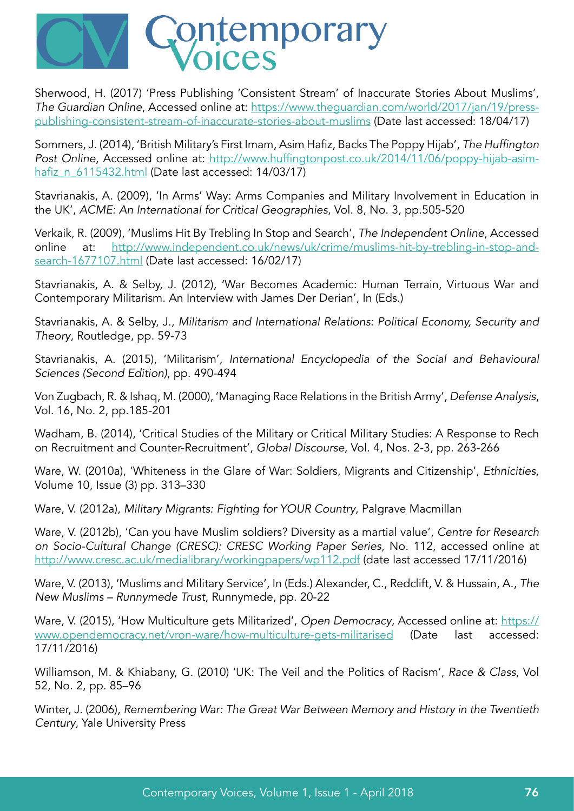

Sherwood, H. (2017) 'Press Publishing 'Consistent Stream' of Inaccurate Stories About Muslims', The Guardian Online, Accessed online at: [https://www.theguardian.com/world/2017/jan/19/press](https://www.theguardian.com/world/2017/jan/19/press-publishing-consistent-stream-of-inaccurate-stories-about-muslims)[publishing-consistent-stream-of-inaccurate-stories-about-muslims](https://www.theguardian.com/world/2017/jan/19/press-publishing-consistent-stream-of-inaccurate-stories-about-muslims) (Date last accessed: 18/04/17)

Sommers, J. (2014), 'British Military's First Imam, Asim Hafiz, Backs The Poppy Hijab', The Huffington Post Online, Accessed online at: [http://www.huffingtonpost.co.uk/2014/11/06/poppy-hijab-asim](http://www.huffingtonpost.co.uk/2014/11/06/poppy-hijab-asim-hafiz_n_6115432.html)[hafiz\\_n\\_6115432.html](http://www.huffingtonpost.co.uk/2014/11/06/poppy-hijab-asim-hafiz_n_6115432.html) (Date last accessed: 14/03/17)

Stavrianakis, A. (2009), 'In Arms' Way: Arms Companies and Military Involvement in Education in the UK', ACME: An International for Critical Geographies, Vol. 8, No. 3, pp.505-520

Verkaik, R. (2009), 'Muslims Hit By Trebling In Stop and Search', The Independent Online, Accessed online at: [http://www.independent.co.uk/news/uk/crime/muslims-hit-by-trebling-in-stop-and](http://www.independent.co.uk/news/uk/crime/muslims-hit-by-trebling-in-stop-and-search-1677107.html)[search-1677107.html](http://www.independent.co.uk/news/uk/crime/muslims-hit-by-trebling-in-stop-and-search-1677107.html) (Date last accessed: 16/02/17)

Stavrianakis, A. & Selby, J. (2012), 'War Becomes Academic: Human Terrain, Virtuous War and Contemporary Militarism. An Interview with James Der Derian', In (Eds.)

Stavrianakis, A. & Selby, J., Militarism and International Relations: Political Economy, Security and Theory, Routledge, pp. 59-73

Stavrianakis, A. (2015), 'Militarism', International Encyclopedia of the Social and Behavioural Sciences (Second Edition), pp. 490-494

Von Zugbach, R. & Ishaq, M. (2000), 'Managing Race Relations in the British Army', Defense Analysis, Vol. 16, No. 2, pp.185-201

Wadham, B. (2014), 'Critical Studies of the Military or Critical Military Studies: A Response to Rech on Recruitment and Counter-Recruitment', Global Discourse, Vol. 4, Nos. 2-3, pp. 263-266

Ware, W. (2010a), 'Whiteness in the Glare of War: Soldiers, Migrants and Citizenship', Ethnicities, Volume 10, Issue (3) pp. 313–330

Ware, V. (2012a), Military Migrants: Fighting for YOUR Country, Palgrave Macmillan

Ware, V. (2012b), 'Can you have Muslim soldiers? Diversity as a martial value', Centre for Research on Socio-Cultural Change (CRESC): CRESC Working Paper Series, No. 112, accessed online at <http://www.cresc.ac.uk/medialibrary/workingpapers/wp112.pdf> (date last accessed 17/11/2016)

Ware, V. (2013), 'Muslims and Military Service', In (Eds.) Alexander, C., Redclift, V. & Hussain, A., The New Muslims – Runnymede Trust, Runnymede, pp. 20-22

Ware, V. (2015), 'How Multiculture gets Militarized', Open Democracy, Accessed online at: [https://](https://www.opendemocracy.net/vron-ware/how-multiculture-gets-militarised) [www.opendemocracy.net/vron-ware/how-multiculture-gets-militarised](https://www.opendemocracy.net/vron-ware/how-multiculture-gets-militarised) (Date last accessed: 17/11/2016)

Williamson, M. & Khiabany, G. (2010) 'UK: The Veil and the Politics of Racism', Race & Class, Vol 52, No. 2, pp. 85–96

Winter, J. (2006), Remembering War: The Great War Between Memory and History in the Twentieth Century, Yale University Press